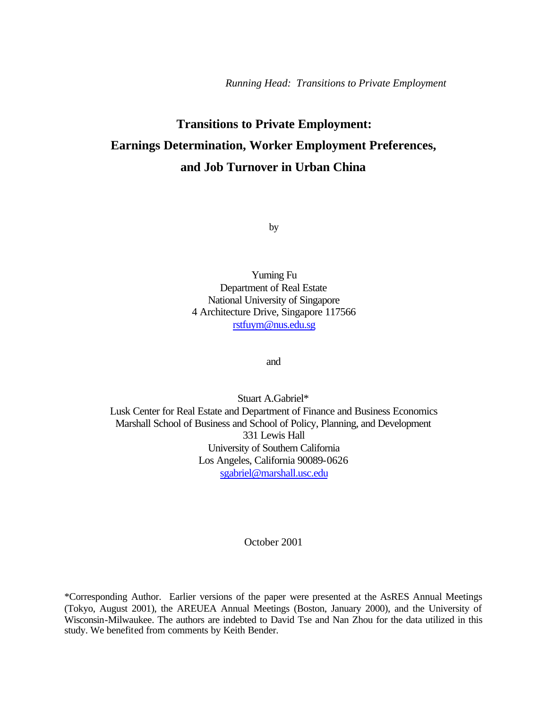# **Transitions to Private Employment: Earnings Determination, Worker Employment Preferences, and Job Turnover in Urban China**

by

Yuming Fu Department of Real Estate National University of Singapore 4 Architecture Drive, Singapore 117566 rstfuym@nus.edu.sg

and

Stuart A.Gabriel\* Lusk Center for Real Estate and Department of Finance and Business Economics Marshall School of Business and School of Policy, Planning, and Development 331 Lewis Hall University of Southern California Los Angeles, California 90089-0626 sgabriel@marshall.usc.edu

October 2001

\*Corresponding Author. Earlier versions of the paper were presented at the AsRES Annual Meetings (Tokyo, August 2001), the AREUEA Annual Meetings (Boston, January 2000), and the University of Wisconsin-Milwaukee. The authors are indebted to David Tse and Nan Zhou for the data utilized in this study. We benefited from comments by Keith Bender.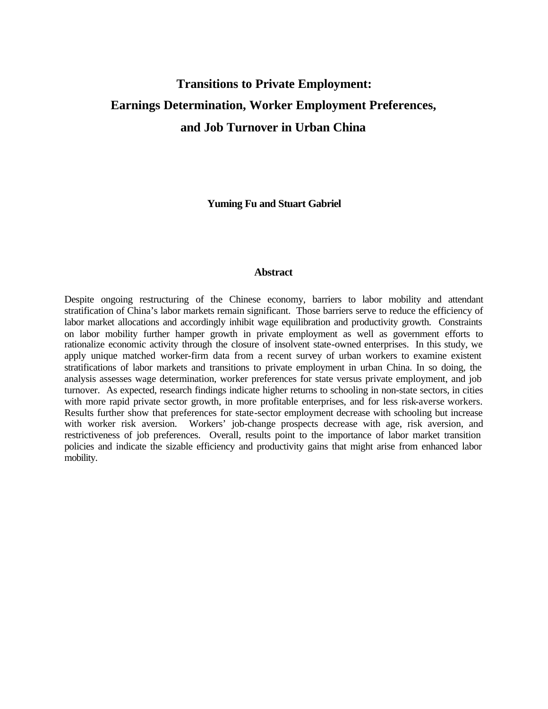# **Transitions to Private Employment: Earnings Determination, Worker Employment Preferences, and Job Turnover in Urban China**

**Yuming Fu and Stuart Gabriel**

# **Abstract**

Despite ongoing restructuring of the Chinese economy, barriers to labor mobility and attendant stratification of China's labor markets remain significant. Those barriers serve to reduce the efficiency of labor market allocations and accordingly inhibit wage equilibration and productivity growth. Constraints on labor mobility further hamper growth in private employment as well as government efforts to rationalize economic activity through the closure of insolvent state-owned enterprises. In this study, we apply unique matched worker-firm data from a recent survey of urban workers to examine existent stratifications of labor markets and transitions to private employment in urban China. In so doing, the analysis assesses wage determination, worker preferences for state versus private employment, and job turnover. As expected, research findings indicate higher returns to schooling in non-state sectors, in cities with more rapid private sector growth, in more profitable enterprises, and for less risk-averse workers. Results further show that preferences for state-sector employment decrease with schooling but increase with worker risk aversion. Workers' job-change prospects decrease with age, risk aversion, and restrictiveness of job preferences. Overall, results point to the importance of labor market transition policies and indicate the sizable efficiency and productivity gains that might arise from enhanced labor mobility.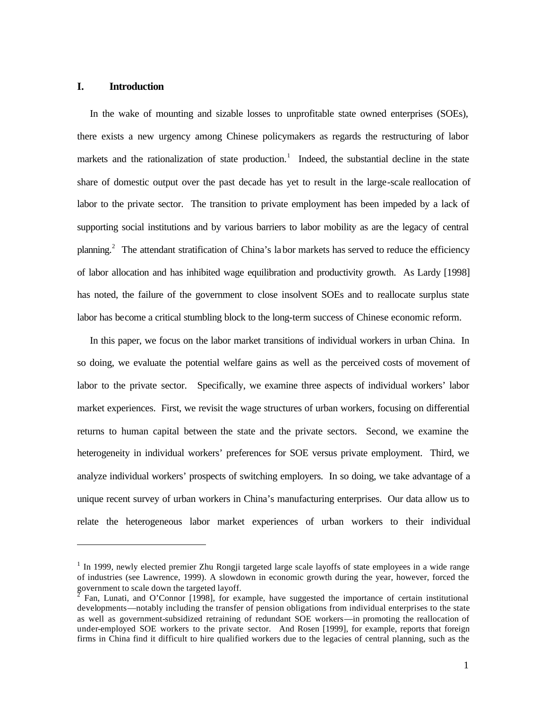# **I. Introduction**

l

In the wake of mounting and sizable losses to unprofitable state owned enterprises (SOEs), there exists a new urgency among Chinese policymakers as regards the restructuring of labor markets and the rationalization of state production.<sup>1</sup> Indeed, the substantial decline in the state share of domestic output over the past decade has yet to result in the large-scale reallocation of labor to the private sector. The transition to private employment has been impeded by a lack of supporting social institutions and by various barriers to labor mobility as are the legacy of central planning.<sup>2</sup> The attendant stratification of China's labor markets has served to reduce the efficiency of labor allocation and has inhibited wage equilibration and productivity growth.As Lardy [1998] has noted, the failure of the government to close insolvent SOEs and to reallocate surplus state labor has become a critical stumbling block to the long-term success of Chinese economic reform.

In this paper, we focus on the labor market transitions of individual workers in urban China. In so doing, we evaluate the potential welfare gains as well as the perceived costs of movement of labor to the private sector. Specifically, we examine three aspects of individual workers' labor market experiences. First, we revisit the wage structures of urban workers, focusing on differential returns to human capital between the state and the private sectors. Second, we examine the heterogeneity in individual workers' preferences for SOE versus private employment. Third, we analyze individual workers' prospects of switching employers. In so doing, we take advantage of a unique recent survey of urban workers in China's manufacturing enterprises. Our data allow us to relate the heterogeneous labor market experiences of urban workers to their individual

<sup>&</sup>lt;sup>1</sup> In 1999, newly elected premier Zhu Rongji targeted large scale layoffs of state employees in a wide range of industries (see Lawrence, 1999). A slowdown in economic growth during the year, however, forced the government to scale down the targeted layoff.

 $\overline{2}$  Fan, Lunati, and O'Connor [1998], for example, have suggested the importance of certain institutional developments—notably including the transfer of pension obligations from individual enterprises to the state as well as government-subsidized retraining of redundant SOE workers—in promoting the reallocation of under-employed SOE workers to the private sector. And Rosen [1999], for example, reports that foreign firms in China find it difficult to hire qualified workers due to the legacies of central planning, such as the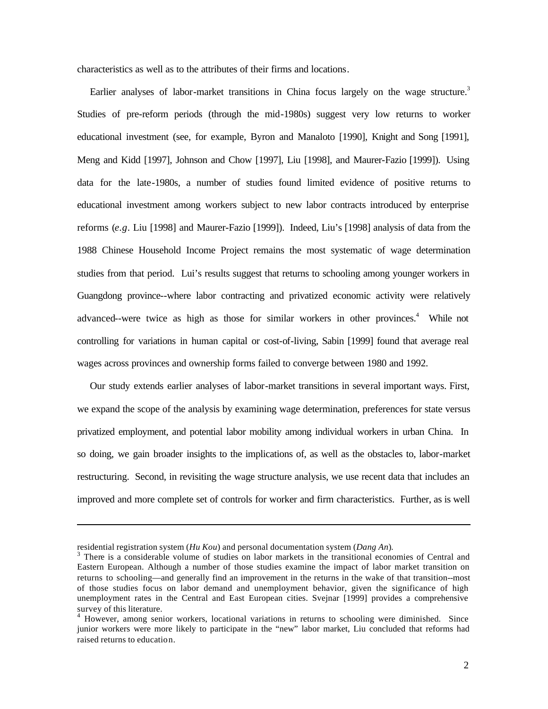characteristics as well as to the attributes of their firms and locations.

Earlier analyses of labor-market transitions in China focus largely on the wage structure.<sup>3</sup> Studies of pre-reform periods (through the mid-1980s) suggest very low returns to worker educational investment (see, for example, Byron and Manaloto [1990], Knight and Song [1991], Meng and Kidd [1997], Johnson and Chow [1997], Liu [1998], and Maurer-Fazio [1999]). Using data for the late-1980s, a number of studies found limited evidence of positive returns to educational investment among workers subject to new labor contracts introduced by enterprise reforms (*e.g*. Liu [1998] and Maurer-Fazio [1999]). Indeed, Liu's [1998] analysis of data from the 1988 Chinese Household Income Project remains the most systematic of wage determination studies from that period. Lui's results suggest that returns to schooling among younger workers in Guangdong province--where labor contracting and privatized economic activity were relatively advanced--were twice as high as those for similar workers in other provinces.<sup>4</sup> While not controlling for variations in human capital or cost-of-living, Sabin [1999] found that average real wages across provinces and ownership forms failed to converge between 1980 and 1992.

Our study extends earlier analyses of labor-market transitions in several important ways. First, we expand the scope of the analysis by examining wage determination, preferences for state versus privatized employment, and potential labor mobility among individual workers in urban China. In so doing, we gain broader insights to the implications of, as well as the obstacles to, labor-market restructuring. Second, in revisiting the wage structure analysis, we use recent data that includes an improved and more complete set of controls for worker and firm characteristics. Further, as is well

residential registration system (*Hu Kou*) and personal documentation system (*Dang An*).

<sup>&</sup>lt;sup>3</sup> There is a considerable volume of studies on labor markets in the transitional economies of Central and Eastern European. Although a number of those studies examine the impact of labor market transition on returns to schooling—and generally find an improvement in the returns in the wake of that transition--most of those studies focus on labor demand and unemployment behavior, given the significance of high unemployment rates in the Central and East European cities. Svejnar [1999] provides a comprehensive survey of this literature.

<sup>&</sup>lt;sup>4</sup> However, among senior workers, locational variations in returns to schooling were diminished. Since junior workers were more likely to participate in the "new" labor market, Liu concluded that reforms had raised returns to education.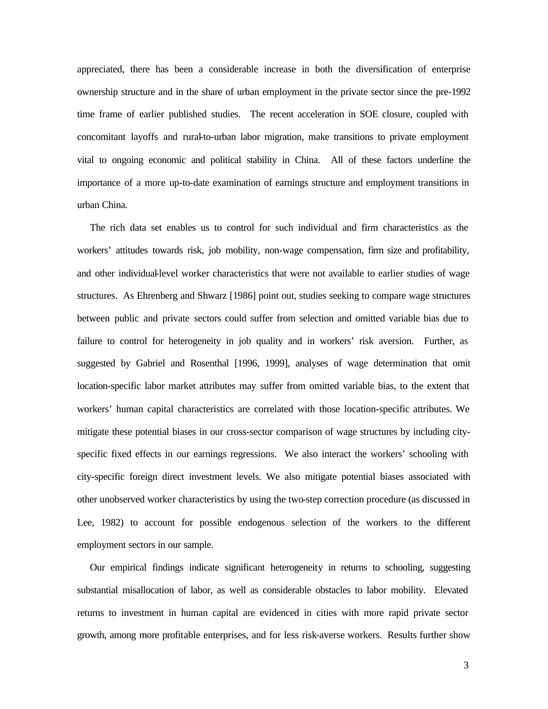appreciated, there has been a considerable increase in both the diversification of enterprise ownership structure and in the share of urban employment in the private sector since the pre-1992 time frame of earlier published studies. The recent acceleration in SOE closure, coupled with concomitant layoffs and rural-to-urban labor migration, make transitions to private employment vital to ongoing economic and political stability in China. All of these factors underline the importance of a more up-to-date examination of earnings structure and employment transitions in urban China.

The rich data set enables us to control for such individual and firm characteristics as the workers' attitudes towards risk, job mobility, non-wage compensation, firm size and profitability, and other individual-level worker characteristics that were not available to earlier studies of wage structures. As Ehrenberg and Shwarz [1986] point out, studies seeking to compare wage structures between public and private sectors could suffer from selection and omitted variable bias due to failure to control for heterogeneity in job quality and in workers' risk aversion. Further, as suggested by Gabriel and Rosenthal [1996, 1999], analyses of wage determination that omit location-specific labor market attributes may suffer from omitted variable bias, to the extent that workers' human capital characteristics are correlated with those location-specific attributes. We mitigate these potential biases in our cross-sector comparison of wage structures by including cityspecific fixed effects in our earnings regressions. We also interact the workers' schooling with city-specific foreign direct investment levels. We also mitigate potential biases associated with other unobserved worker characteristics by using the two-step correction procedure (as discussed in Lee, 1982) to account for possible endogenous selection of the workers to the different employment sectors in our sample.

Our empirical findings indicate significant heterogeneity in returns to schooling, suggesting substantial misallocation of labor, as well as considerable obstacles to labor mobility. Elevated returns to investment in human capital are evidenced in cities with more rapid private sector growth, among more profitable enterprises, and for less risk-averse workers. Results further show

3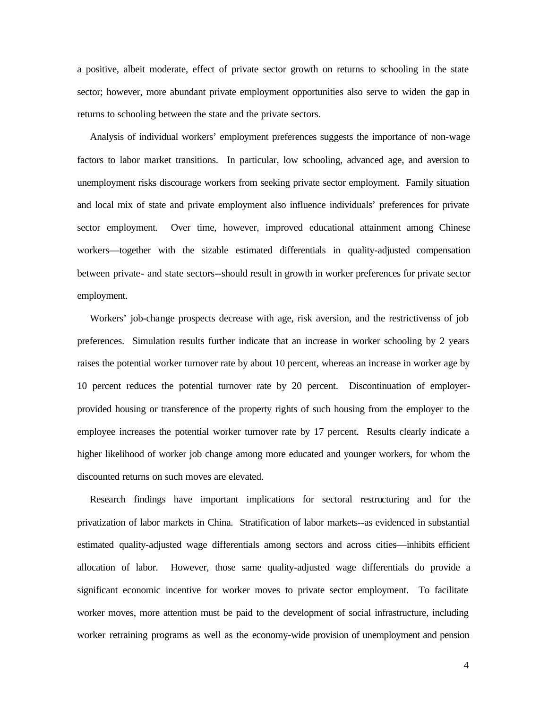a positive, albeit moderate, effect of private sector growth on returns to schooling in the state sector; however, more abundant private employment opportunities also serve to widen the gap in returns to schooling between the state and the private sectors.

Analysis of individual workers' employment preferences suggests the importance of non-wage factors to labor market transitions. In particular, low schooling, advanced age, and aversion to unemployment risks discourage workers from seeking private sector employment. Family situation and local mix of state and private employment also influence individuals' preferences for private sector employment. Over time, however, improved educational attainment among Chinese workers—together with the sizable estimated differentials in quality-adjusted compensation between private- and state sectors--should result in growth in worker preferences for private sector employment.

Workers' job-change prospects decrease with age, risk aversion, and the restrictivenss of job preferences. Simulation results further indicate that an increase in worker schooling by 2 years raises the potential worker turnover rate by about 10 percent, whereas an increase in worker age by 10 percent reduces the potential turnover rate by 20 percent. Discontinuation of employerprovided housing or transference of the property rights of such housing from the employer to the employee increases the potential worker turnover rate by 17 percent. Results clearly indicate a higher likelihood of worker job change among more educated and younger workers, for whom the discounted returns on such moves are elevated.

Research findings have important implications for sectoral restructuring and for the privatization of labor markets in China. Stratification of labor markets--as evidenced in substantial estimated quality-adjusted wage differentials among sectors and across cities—inhibits efficient allocation of labor. However, those same quality-adjusted wage differentials do provide a significant economic incentive for worker moves to private sector employment. To facilitate worker moves, more attention must be paid to the development of social infrastructure, including worker retraining programs as well as the economy-wide provision of unemployment and pension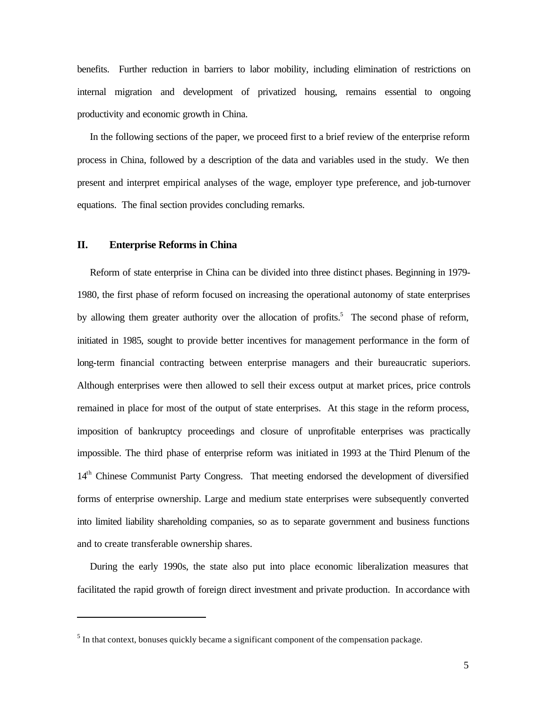benefits. Further reduction in barriers to labor mobility, including elimination of restrictions on internal migration and development of privatized housing, remains essential to ongoing productivity and economic growth in China.

In the following sections of the paper, we proceed first to a brief review of the enterprise reform process in China, followed by a description of the data and variables used in the study. We then present and interpret empirical analyses of the wage, employer type preference, and job-turnover equations. The final section provides concluding remarks.

# **II. Enterprise Reforms in China**

l

Reform of state enterprise in China can be divided into three distinct phases. Beginning in 1979- 1980, the first phase of reform focused on increasing the operational autonomy of state enterprises by allowing them greater authority over the allocation of profits.<sup>5</sup> The second phase of reform, initiated in 1985, sought to provide better incentives for management performance in the form of long-term financial contracting between enterprise managers and their bureaucratic superiors. Although enterprises were then allowed to sell their excess output at market prices, price controls remained in place for most of the output of state enterprises. At this stage in the reform process, imposition of bankruptcy proceedings and closure of unprofitable enterprises was practically impossible. The third phase of enterprise reform was initiated in 1993 at the Third Plenum of the 14<sup>th</sup> Chinese Communist Party Congress. That meeting endorsed the development of diversified forms of enterprise ownership. Large and medium state enterprises were subsequently converted into limited liability shareholding companies, so as to separate government and business functions and to create transferable ownership shares.

During the early 1990s, the state also put into place economic liberalization measures that facilitated the rapid growth of foreign direct investment and private production. In accordance with

 $<sup>5</sup>$  In that context, bonuses quickly became a significant component of the compensation package.</sup>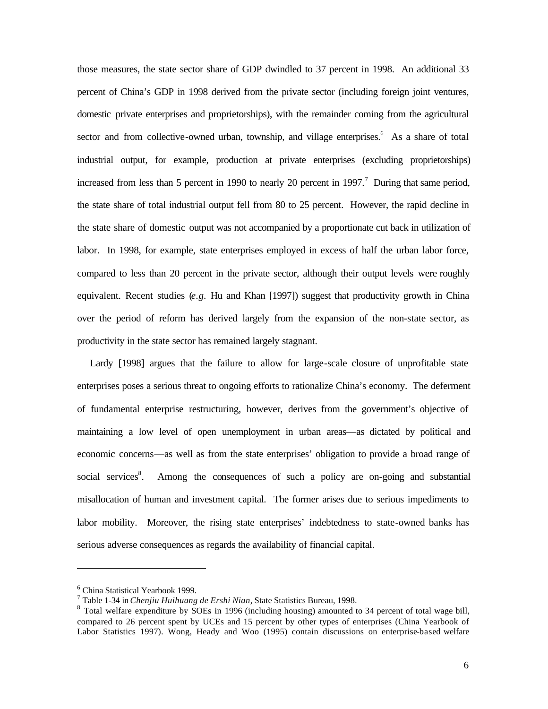those measures, the state sector share of GDP dwindled to 37 percent in 1998. An additional 33 percent of China's GDP in 1998 derived from the private sector (including foreign joint ventures, domestic private enterprises and proprietorships), with the remainder coming from the agricultural sector and from collective-owned urban, township, and village enterprises. As a share of total industrial output, for example, production at private enterprises (excluding proprietorships) increased from less than 5 percent in 1990 to nearly 20 percent in 1997.<sup>7</sup> During that same period, the state share of total industrial output fell from 80 to 25 percent. However, the rapid decline in the state share of domestic output was not accompanied by a proportionate cut back in utilization of labor. In 1998, for example, state enterprises employed in excess of half the urban labor force, compared to less than 20 percent in the private sector, although their output levels were roughly equivalent. Recent studies (*e.g.* Hu and Khan [1997]) suggest that productivity growth in China over the period of reform has derived largely from the expansion of the non-state sector, as productivity in the state sector has remained largely stagnant.

Lardy [1998] argues that the failure to allow for large-scale closure of unprofitable state enterprises poses a serious threat to ongoing efforts to rationalize China's economy. The deferment of fundamental enterprise restructuring, however, derives from the government's objective of maintaining a low level of open unemployment in urban areas—as dictated by political and economic concerns—as well as from the state enterprises' obligation to provide a broad range of social services<sup>8</sup>. Among the consequences of such a policy are on-going and substantial misallocation of human and investment capital. The former arises due to serious impediments to labor mobility. Moreover, the rising state enterprises' indebtedness to state-owned banks has serious adverse consequences as regards the availability of financial capital.

<sup>6</sup> China Statistical Yearbook 1999.

<sup>7</sup> Table 1-34 in *Chenjiu Huihuang de Ershi Nian*, State Statistics Bureau, 1998.

<sup>&</sup>lt;sup>8</sup> Total welfare expenditure by SOEs in 1996 (including housing) amounted to 34 percent of total wage bill, compared to 26 percent spent by UCEs and 15 percent by other types of enterprises (China Yearbook of Labor Statistics 1997). Wong, Heady and Woo (1995) contain discussions on enterprise-based welfare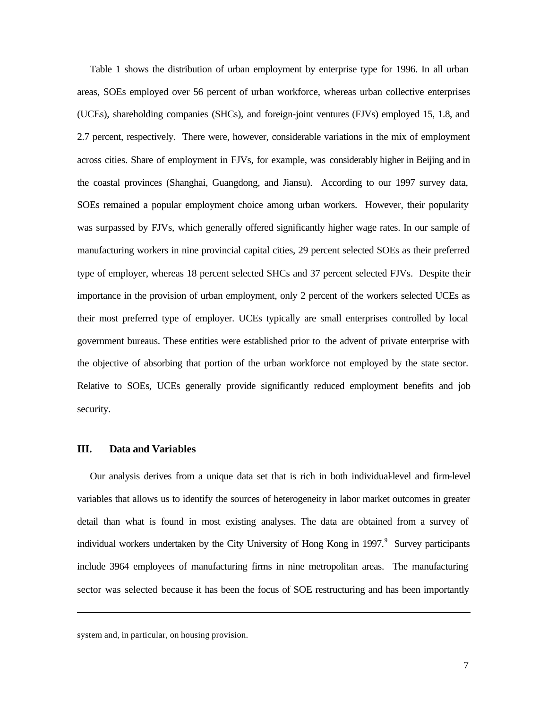Table 1 shows the distribution of urban employment by enterprise type for 1996. In all urban areas, SOEs employed over 56 percent of urban workforce, whereas urban collective enterprises (UCEs), shareholding companies (SHCs), and foreign-joint ventures (FJVs) employed 15, 1.8, and 2.7 percent, respectively. There were, however, considerable variations in the mix of employment across cities. Share of employment in FJVs, for example, was considerably higher in Beijing and in the coastal provinces (Shanghai, Guangdong, and Jiansu). According to our 1997 survey data, SOEs remained a popular employment choice among urban workers. However, their popularity was surpassed by FJVs, which generally offered significantly higher wage rates. In our sample of manufacturing workers in nine provincial capital cities, 29 percent selected SOEs as their preferred type of employer, whereas 18 percent selected SHCs and 37 percent selected FJVs. Despite their importance in the provision of urban employment, only 2 percent of the workers selected UCEs as their most preferred type of employer. UCEs typically are small enterprises controlled by local government bureaus. These entities were established prior to the advent of private enterprise with the objective of absorbing that portion of the urban workforce not employed by the state sector. Relative to SOEs, UCEs generally provide significantly reduced employment benefits and job security.

# **III. Data and Variables**

Our analysis derives from a unique data set that is rich in both individual-level and firm-level variables that allows us to identify the sources of heterogeneity in labor market outcomes in greater detail than what is found in most existing analyses. The data are obtained from a survey of individual workers undertaken by the City University of Hong Kong in 1997.<sup>9</sup> Survey participants include 3964 employees of manufacturing firms in nine metropolitan areas. The manufacturing sector was selected because it has been the focus of SOE restructuring and has been importantly

system and, in particular, on housing provision.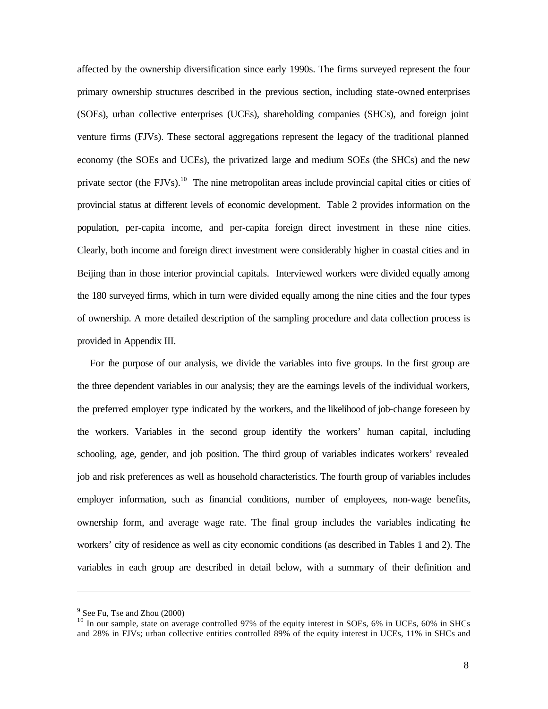affected by the ownership diversification since early 1990s. The firms surveyed represent the four primary ownership structures described in the previous section, including state-owned enterprises (SOEs), urban collective enterprises (UCEs), shareholding companies (SHCs), and foreign joint venture firms (FJVs). These sectoral aggregations represent the legacy of the traditional planned economy (the SOEs and UCEs), the privatized large and medium SOEs (the SHCs) and the new private sector (the FJVs).<sup>10</sup> The nine metropolitan areas include provincial capital cities or cities of provincial status at different levels of economic development. Table 2 provides information on the population, per-capita income, and per-capita foreign direct investment in these nine cities. Clearly, both income and foreign direct investment were considerably higher in coastal cities and in Beijing than in those interior provincial capitals. Interviewed workers were divided equally among the 180 surveyed firms, which in turn were divided equally among the nine cities and the four types of ownership. A more detailed description of the sampling procedure and data collection process is provided in Appendix III.

For the purpose of our analysis, we divide the variables into five groups. In the first group are the three dependent variables in our analysis; they are the earnings levels of the individual workers, the preferred employer type indicated by the workers, and the likelihood of job-change foreseen by the workers. Variables in the second group identify the workers' human capital, including schooling, age, gender, and job position. The third group of variables indicates workers' revealed job and risk preferences as well as household characteristics. The fourth group of variables includes employer information, such as financial conditions, number of employees, non-wage benefits, ownership form, and average wage rate. The final group includes the variables indicating the workers' city of residence as well as city economic conditions (as described in Tables 1 and 2). The variables in each group are described in detail below, with a summary of their definition and

 $9^9$  See Fu, Tse and Zhou (2000)

<sup>&</sup>lt;sup>10</sup> In our sample, state on average controlled 97% of the equity interest in SOEs, 6% in UCEs, 60% in SHCs and 28% in FJVs; urban collective entities controlled 89% of the equity interest in UCEs, 11% in SHCs and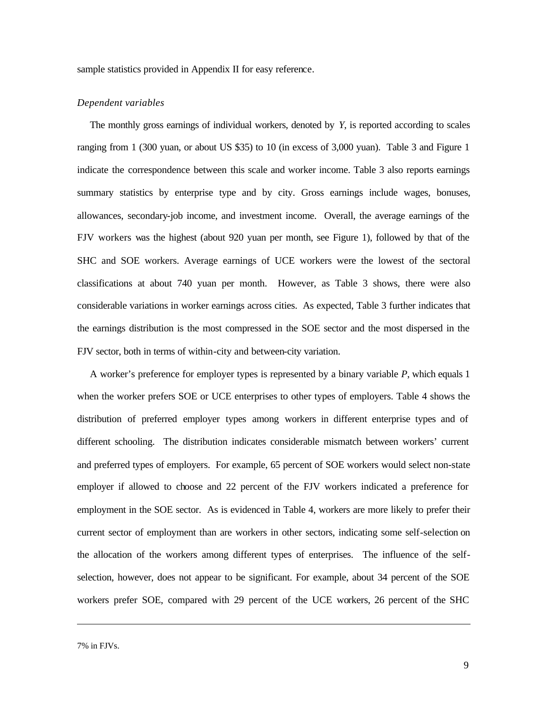sample statistics provided in Appendix II for easy reference.

# *Dependent variables*

The monthly gross earnings of individual workers, denoted by *Y*, is reported according to scales ranging from 1 (300 yuan, or about US \$35) to 10 (in excess of 3,000 yuan). Table 3 and Figure 1 indicate the correspondence between this scale and worker income. Table 3 also reports earnings summary statistics by enterprise type and by city. Gross earnings include wages, bonuses, allowances, secondary-job income, and investment income. Overall, the average earnings of the FJV workers was the highest (about 920 yuan per month, see Figure 1), followed by that of the SHC and SOE workers. Average earnings of UCE workers were the lowest of the sectoral classifications at about 740 yuan per month. However, as Table 3 shows, there were also considerable variations in worker earnings across cities. As expected, Table 3 further indicates that the earnings distribution is the most compressed in the SOE sector and the most dispersed in the FJV sector, both in terms of within-city and between-city variation.

A worker's preference for employer types is represented by a binary variable *P*, which equals 1 when the worker prefers SOE or UCE enterprises to other types of employers. Table 4 shows the distribution of preferred employer types among workers in different enterprise types and of different schooling. The distribution indicates considerable mismatch between workers' current and preferred types of employers. For example, 65 percent of SOE workers would select non-state employer if allowed to choose and 22 percent of the FJV workers indicated a preference for employment in the SOE sector. As is evidenced in Table 4, workers are more likely to prefer their current sector of employment than are workers in other sectors, indicating some self-selection on the allocation of the workers among different types of enterprises. The influence of the selfselection, however, does not appear to be significant. For example, about 34 percent of the SOE workers prefer SOE, compared with 29 percent of the UCE workers, 26 percent of the SHC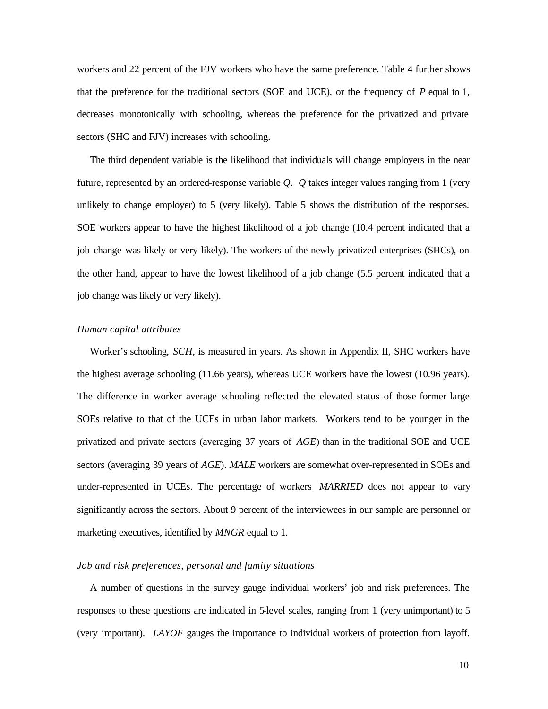workers and 22 percent of the FJV workers who have the same preference. Table 4 further shows that the preference for the traditional sectors (SOE and UCE), or the frequency of *P* equal to 1, decreases monotonically with schooling, whereas the preference for the privatized and private sectors (SHC and FJV) increases with schooling.

The third dependent variable is the likelihood that individuals will change employers in the near future, represented by an ordered-response variable *Q*. *Q* takes integer values ranging from 1 (very unlikely to change employer) to 5 (very likely). Table 5 shows the distribution of the responses. SOE workers appear to have the highest likelihood of a job change (10.4 percent indicated that a job change was likely or very likely). The workers of the newly privatized enterprises (SHCs), on the other hand, appear to have the lowest likelihood of a job change (5.5 percent indicated that a job change was likely or very likely).

# *Human capital attributes*

Worker's schooling, *SCH*, is measured in years. As shown in Appendix II, SHC workers have the highest average schooling (11.66 years), whereas UCE workers have the lowest (10.96 years). The difference in worker average schooling reflected the elevated status of those former large SOEs relative to that of the UCEs in urban labor markets. Workers tend to be younger in the privatized and private sectors (averaging 37 years of *AGE*) than in the traditional SOE and UCE sectors (averaging 39 years of *AGE*). *MALE* workers are somewhat over-represented in SOEs and under-represented in UCEs. The percentage of workers *MARRIED* does not appear to vary significantly across the sectors. About 9 percent of the interviewees in our sample are personnel or marketing executives, identified by *MNGR* equal to 1.

### *Job and risk preferences, personal and family situations*

A number of questions in the survey gauge individual workers' job and risk preferences. The responses to these questions are indicated in 5-level scales, ranging from 1 (very unimportant) to 5 (very important). *LAYOF* gauges the importance to individual workers of protection from layoff.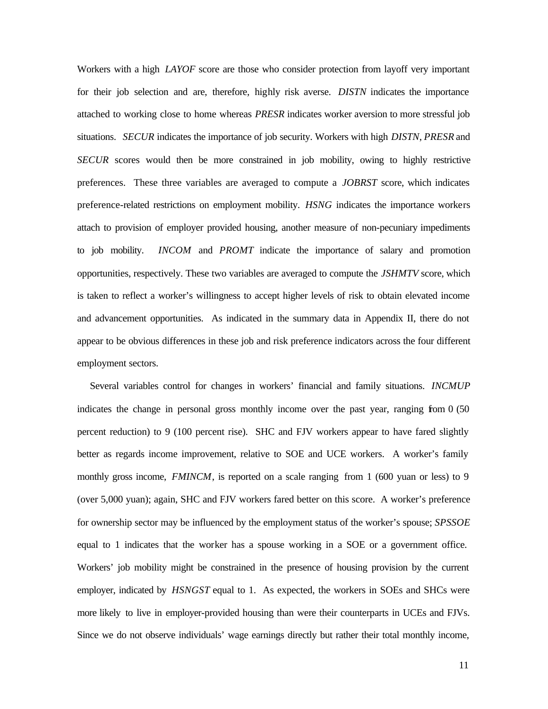Workers with a high *LAYOF* score are those who consider protection from layoff very important for their job selection and are, therefore, highly risk averse. *DISTN* indicates the importance attached to working close to home whereas *PRESR* indicates worker aversion to more stressful job situations. *SECUR* indicates the importance of job security. Workers with high *DISTN*, *PRESR* and *SECUR* scores would then be more constrained in job mobility, owing to highly restrictive preferences. These three variables are averaged to compute a *JOBRST* score, which indicates preference-related restrictions on employment mobility. *HSNG* indicates the importance workers attach to provision of employer provided housing, another measure of non-pecuniary impediments to job mobility. *INCOM* and *PROMT* indicate the importance of salary and promotion opportunities, respectively. These two variables are averaged to compute the *JSHMTV* score, which is taken to reflect a worker's willingness to accept higher levels of risk to obtain elevated income and advancement opportunities. As indicated in the summary data in Appendix II, there do not appear to be obvious differences in these job and risk preference indicators across the four different employment sectors.

Several variables control for changes in workers' financial and family situations. *INCMUP* indicates the change in personal gross monthly income over the past year, ranging from  $0\,(50)$ percent reduction) to 9 (100 percent rise). SHC and FJV workers appear to have fared slightly better as regards income improvement, relative to SOE and UCE workers. A worker's family monthly gross income, *FMINCM*, is reported on a scale ranging from 1 (600 yuan or less) to 9 (over 5,000 yuan); again, SHC and FJV workers fared better on this score. A worker's preference for ownership sector may be influenced by the employment status of the worker's spouse; *SPSSOE* equal to 1 indicates that the worker has a spouse working in a SOE or a government office. Workers' job mobility might be constrained in the presence of housing provision by the current employer, indicated by *HSNGST* equal to 1. As expected, the workers in SOEs and SHCs were more likely to live in employer-provided housing than were their counterparts in UCEs and FJVs. Since we do not observe individuals' wage earnings directly but rather their total monthly income,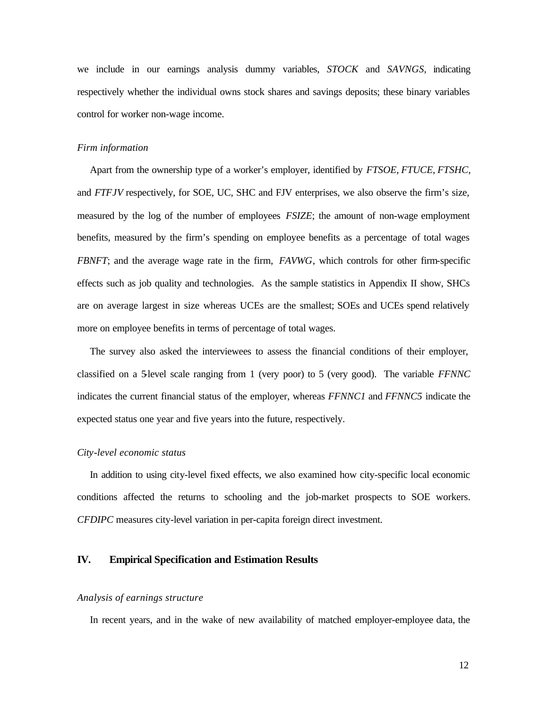we include in our earnings analysis dummy variables, *STOCK* and *SAVNGS*, indicating respectively whether the individual owns stock shares and savings deposits; these binary variables control for worker non-wage income.

#### *Firm information*

Apart from the ownership type of a worker's employer, identified by *FTSOE*, *FTUCE*, *FTSHC*, and *FTFJV* respectively, for SOE, UC, SHC and FJV enterprises, we also observe the firm's size, measured by the log of the number of employees *FSIZE*; the amount of non-wage employment benefits, measured by the firm's spending on employee benefits as a percentage of total wages *FBNFT*; and the average wage rate in the firm, *FAVWG*, which controls for other firm-specific effects such as job quality and technologies. As the sample statistics in Appendix II show, SHCs are on average largest in size whereas UCEs are the smallest; SOEs and UCEs spend relatively more on employee benefits in terms of percentage of total wages.

The survey also asked the interviewees to assess the financial conditions of their employer, classified on a 5-level scale ranging from 1 (very poor) to 5 (very good). The variable *FFNNC* indicates the current financial status of the employer, whereas *FFNNC1* and *FFNNC5* indicate the expected status one year and five years into the future, respectively.

#### *City-level economic status*

In addition to using city-level fixed effects, we also examined how city-specific local economic conditions affected the returns to schooling and the job-market prospects to SOE workers. *CFDIPC* measures city-level variation in per-capita foreign direct investment.

# **IV. Empirical Specification and Estimation Results**

### *Analysis of earnings structure*

In recent years, and in the wake of new availability of matched employer-employee data, the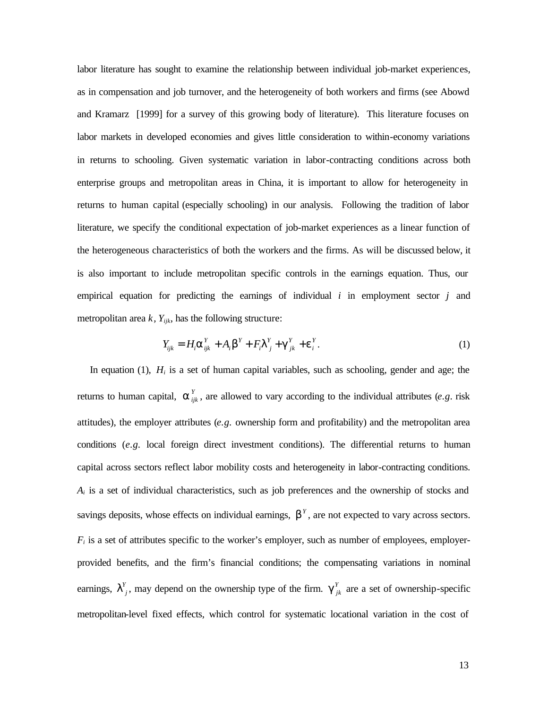labor literature has sought to examine the relationship between individual job-market experiences, as in compensation and job turnover, and the heterogeneity of both workers and firms (see Abowd and Kramarz [1999] for a survey of this growing body of literature). This literature focuses on labor markets in developed economies and gives little consideration to within-economy variations in returns to schooling. Given systematic variation in labor-contracting conditions across both enterprise groups and metropolitan areas in China, it is important to allow for heterogeneity in returns to human capital (especially schooling) in our analysis. Following the tradition of labor literature, we specify the conditional expectation of job-market experiences as a linear function of the heterogeneous characteristics of both the workers and the firms. As will be discussed below, it is also important to include metropolitan specific controls in the earnings equation. Thus, our empirical equation for predicting the earnings of individual *i* in employment sector *j* and metropolitan area  $k$ ,  $Y_{ijk}$ , has the following structure:

$$
Y_{ijk} = H_i \mathbf{a}_{ijk}^Y + A_i \mathbf{b}^Y + F_i \mathbf{I}_{j}^Y + \mathbf{g}_{jk}^Y + \mathbf{e}_i^Y.
$$
 (1)

In equation (1), *H<sup>i</sup>* is a set of human capital variables, such as schooling, gender and age; the returns to human capital,  $\boldsymbol{a}_{ijk}^Y$ , are allowed to vary according to the individual attributes (*e.g.* risk attitudes), the employer attributes (*e.g.* ownership form and profitability) and the metropolitan area conditions (*e.g.* local foreign direct investment conditions). The differential returns to human capital across sectors reflect labor mobility costs and heterogeneity in labor-contracting conditions.  $A_i$  is a set of individual characteristics, such as job preferences and the ownership of stocks and savings deposits, whose effects on individual earnings, **, are not expected to vary across sectors.**  $F_i$  is a set of attributes specific to the worker's employer, such as number of employees, employerprovided benefits, and the firm's financial conditions; the compensating variations in nominal earnings,  $I^{Y}_{j}$ , may depend on the ownership type of the firm.  $g^{Y}_{jk}$  are a set of ownership-specific metropolitan-level fixed effects, which control for systematic locational variation in the cost of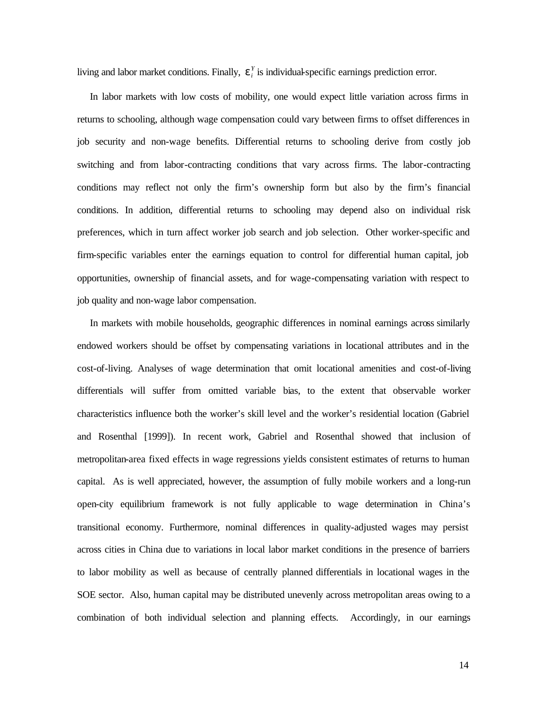living and labor market conditions. Finally,  $e_i^Y$  is individual-specific earnings prediction error.

In labor markets with low costs of mobility, one would expect little variation across firms in returns to schooling, although wage compensation could vary between firms to offset differences in job security and non-wage benefits. Differential returns to schooling derive from costly job switching and from labor-contracting conditions that vary across firms. The labor-contracting conditions may reflect not only the firm's ownership form but also by the firm's financial conditions. In addition, differential returns to schooling may depend also on individual risk preferences, which in turn affect worker job search and job selection. Other worker-specific and firm-specific variables enter the earnings equation to control for differential human capital, job opportunities, ownership of financial assets, and for wage-compensating variation with respect to job quality and non-wage labor compensation.

In markets with mobile households, geographic differences in nominal earnings across similarly endowed workers should be offset by compensating variations in locational attributes and in the cost-of-living. Analyses of wage determination that omit locational amenities and cost-of-living differentials will suffer from omitted variable bias, to the extent that observable worker characteristics influence both the worker's skill level and the worker's residential location (Gabriel and Rosenthal [1999]). In recent work, Gabriel and Rosenthal showed that inclusion of metropolitan-area fixed effects in wage regressions yields consistent estimates of returns to human capital. As is well appreciated, however, the assumption of fully mobile workers and a long-run open-city equilibrium framework is not fully applicable to wage determination in China's transitional economy. Furthermore, nominal differences in quality-adjusted wages may persist across cities in China due to variations in local labor market conditions in the presence of barriers to labor mobility as well as because of centrally planned differentials in locational wages in the SOE sector. Also, human capital may be distributed unevenly across metropolitan areas owing to a combination of both individual selection and planning effects. Accordingly, in our earnings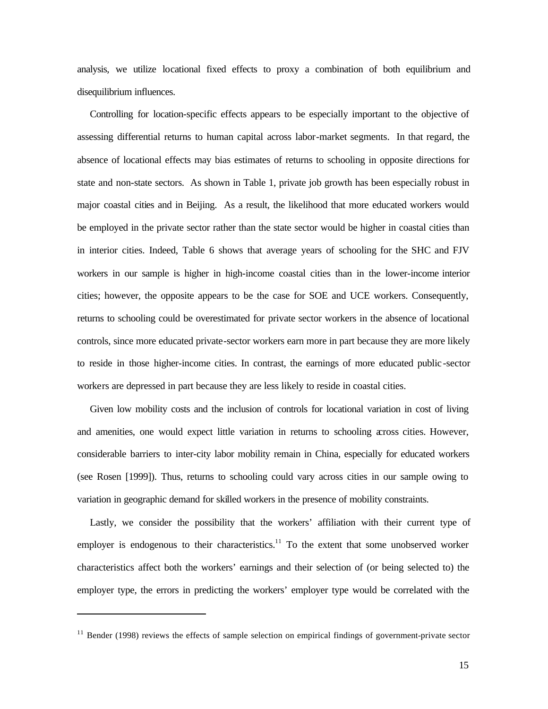analysis, we utilize locational fixed effects to proxy a combination of both equilibrium and disequilibrium influences.

Controlling for location-specific effects appears to be especially important to the objective of assessing differential returns to human capital across labor-market segments. In that regard, the absence of locational effects may bias estimates of returns to schooling in opposite directions for state and non-state sectors. As shown in Table 1, private job growth has been especially robust in major coastal cities and in Beijing. As a result, the likelihood that more educated workers would be employed in the private sector rather than the state sector would be higher in coastal cities than in interior cities. Indeed, Table 6 shows that average years of schooling for the SHC and FJV workers in our sample is higher in high-income coastal cities than in the lower-income interior cities; however, the opposite appears to be the case for SOE and UCE workers. Consequently, returns to schooling could be overestimated for private sector workers in the absence of locational controls, since more educated private-sector workers earn more in part because they are more likely to reside in those higher-income cities. In contrast, the earnings of more educated public -sector workers are depressed in part because they are less likely to reside in coastal cities.

Given low mobility costs and the inclusion of controls for locational variation in cost of living and amenities, one would expect little variation in returns to schooling across cities. However, considerable barriers to inter-city labor mobility remain in China, especially for educated workers (see Rosen [1999]). Thus, returns to schooling could vary across cities in our sample owing to variation in geographic demand for skilled workers in the presence of mobility constraints.

Lastly, we consider the possibility that the workers' affiliation with their current type of employer is endogenous to their characteristics.<sup>11</sup> To the extent that some unobserved worker characteristics affect both the workers' earnings and their selection of (or being selected to) the employer type, the errors in predicting the workers' employer type would be correlated with the

 $11$  Bender (1998) reviews the effects of sample selection on empirical findings of government-private sector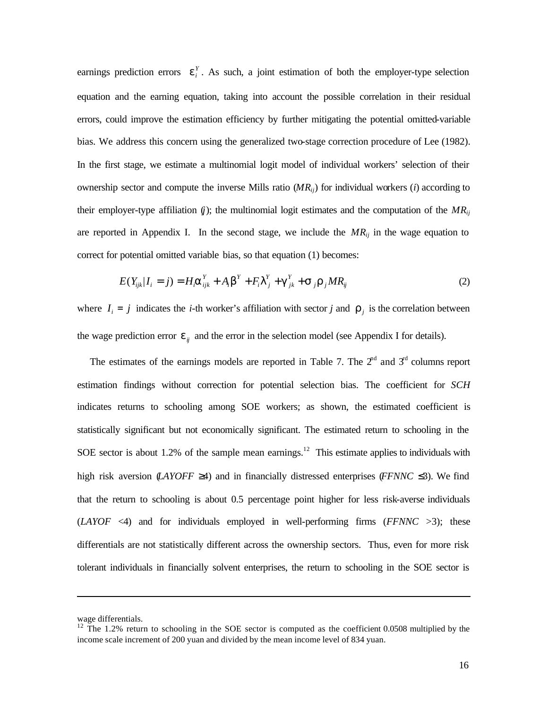earnings prediction errors  $e_i^Y$ . As such, a joint estimation of both the employer-type selection equation and the earning equation, taking into account the possible correlation in their residual errors, could improve the estimation efficiency by further mitigating the potential omitted-variable bias. We address this concern using the generalized two-stage correction procedure of Lee (1982). In the first stage, we estimate a multinomial logit model of individual workers' selection of their ownership sector and compute the inverse Mills ratio  $(MR<sub>i</sub>)$  for individual workers (*i*) according to their employer-type affiliation  $(i)$ ; the multinomial logit estimates and the computation of the  $MR_{ij}$ are reported in Appendix I. In the second stage, we include the *MRij* in the wage equation to correct for potential omitted variable bias, so that equation (1) becomes:

$$
E(Y_{ijk}|I_i=j) = H_i \mathbf{a}_{ijk}^Y + A_i \mathbf{b}^Y + F_i \mathbf{I}_{j}^Y + \mathbf{g}_{jk}^Y + \mathbf{s}_{j} \mathbf{r}_{j} M R_{ij}
$$
(2)

where  $I_i = j$  indicates the *i*-th worker's affiliation with sector *j* and  $r_j$  is the correlation between the wage prediction error  $e_{ij}$  and the error in the selection model (see Appendix I for details).

The estimates of the earnings models are reported in Table 7. The  $2<sup>nd</sup>$  and  $3<sup>rd</sup>$  columns report estimation findings without correction for potential selection bias. The coefficient for *SCH* indicates returns to schooling among SOE workers; as shown, the estimated coefficient is statistically significant but not economically significant. The estimated return to schooling in the SOE sector is about 1.2% of the sample mean earnings.<sup>12</sup> This estimate applies to individuals with high risk aversion (*LAYOFF* ≥4) and in financially distressed enterprises (*FFNNC* ≤3). We find that the return to schooling is about 0.5 percentage point higher for less risk-averse individuals (*LAYOF* <4) and for individuals employed in well-performing firms (*FFNNC* >3); these differentials are not statistically different across the ownership sectors. Thus, even for more risk tolerant individuals in financially solvent enterprises, the return to schooling in the SOE sector is

wage differentials.

 $12$  The 1.2% return to schooling in the SOE sector is computed as the coefficient 0.0508 multiplied by the income scale increment of 200 yuan and divided by the mean income level of 834 yuan.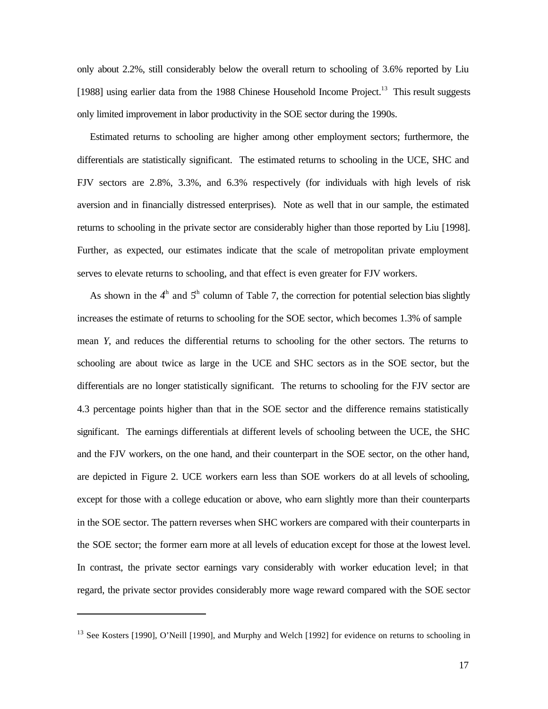only about 2.2%, still considerably below the overall return to schooling of 3.6% reported by Liu [1988] using earlier data from the 1988 Chinese Household Income Project.<sup>13</sup> This result suggests only limited improvement in labor productivity in the SOE sector during the 1990s.

Estimated returns to schooling are higher among other employment sectors; furthermore, the differentials are statistically significant. The estimated returns to schooling in the UCE, SHC and FJV sectors are 2.8%, 3.3%, and 6.3% respectively (for individuals with high levels of risk aversion and in financially distressed enterprises). Note as well that in our sample, the estimated returns to schooling in the private sector are considerably higher than those reported by Liu [1998]. Further, as expected, our estimates indicate that the scale of metropolitan private employment serves to elevate returns to schooling, and that effect is even greater for FJV workers.

As shown in the  $4<sup>th</sup>$  and  $5<sup>th</sup>$  column of Table 7, the correction for potential selection bias slightly increases the estimate of returns to schooling for the SOE sector, which becomes 1.3% of sample mean *Y*, and reduces the differential returns to schooling for the other sectors. The returns to schooling are about twice as large in the UCE and SHC sectors as in the SOE sector, but the differentials are no longer statistically significant. The returns to schooling for the FJV sector are 4.3 percentage points higher than that in the SOE sector and the difference remains statistically significant. The earnings differentials at different levels of schooling between the UCE, the SHC and the FJV workers, on the one hand, and their counterpart in the SOE sector, on the other hand, are depicted in Figure 2. UCE workers earn less than SOE workers do at all levels of schooling, except for those with a college education or above, who earn slightly more than their counterparts in the SOE sector. The pattern reverses when SHC workers are compared with their counterparts in the SOE sector; the former earn more at all levels of education except for those at the lowest level. In contrast, the private sector earnings vary considerably with worker education level; in that regard, the private sector provides considerably more wage reward compared with the SOE sector

<sup>&</sup>lt;sup>13</sup> See Kosters [1990], O'Neill [1990], and Murphy and Welch [1992] for evidence on returns to schooling in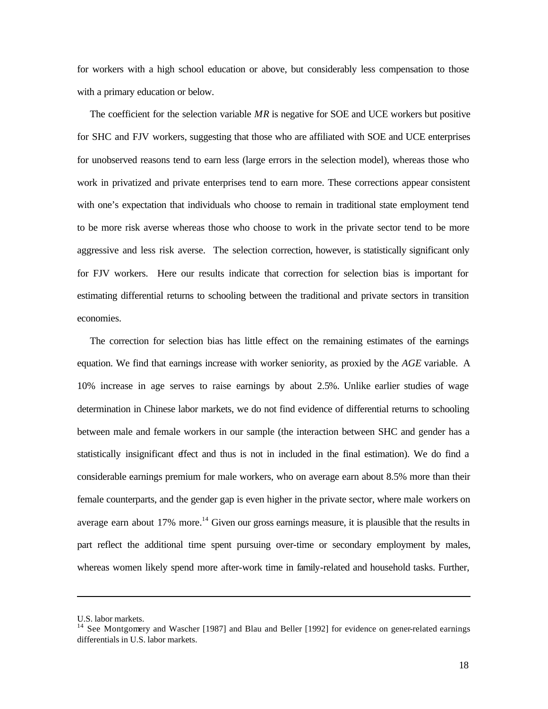for workers with a high school education or above, but considerably less compensation to those with a primary education or below.

The coefficient for the selection variable *MR* is negative for SOE and UCE workers but positive for SHC and FJV workers, suggesting that those who are affiliated with SOE and UCE enterprises for unobserved reasons tend to earn less (large errors in the selection model), whereas those who work in privatized and private enterprises tend to earn more. These corrections appear consistent with one's expectation that individuals who choose to remain in traditional state employment tend to be more risk averse whereas those who choose to work in the private sector tend to be more aggressive and less risk averse. The selection correction, however, is statistically significant only for FJV workers. Here our results indicate that correction for selection bias is important for estimating differential returns to schooling between the traditional and private sectors in transition economies.

The correction for selection bias has little effect on the remaining estimates of the earnings equation. We find that earnings increase with worker seniority, as proxied by the *AGE* variable. A 10% increase in age serves to raise earnings by about 2.5%. Unlike earlier studies of wage determination in Chinese labor markets, we do not find evidence of differential returns to schooling between male and female workers in our sample (the interaction between SHC and gender has a statistically insignificant effect and thus is not in included in the final estimation). We do find a considerable earnings premium for male workers, who on average earn about 8.5% more than their female counterparts, and the gender gap is even higher in the private sector, where male workers on average earn about  $17\%$  more.<sup>14</sup> Given our gross earnings measure, it is plausible that the results in part reflect the additional time spent pursuing over-time or secondary employment by males, whereas women likely spend more after-work time in family-related and household tasks. Further,

U.S. labor markets.

<sup>&</sup>lt;sup>14</sup> See Montgomery and Wascher [1987] and Blau and Beller [1992] for evidence on gener-related earnings differentials in U.S. labor markets.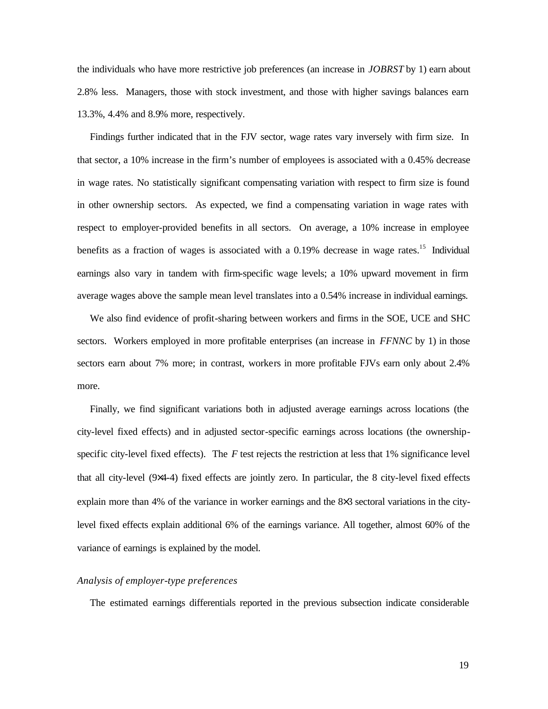the individuals who have more restrictive job preferences (an increase in *JOBRST* by 1) earn about 2.8% less. Managers, those with stock investment, and those with higher savings balances earn 13.3%, 4.4% and 8.9% more, respectively.

Findings further indicated that in the FJV sector, wage rates vary inversely with firm size. In that sector, a 10% increase in the firm's number of employees is associated with a 0.45% decrease in wage rates. No statistically significant compensating variation with respect to firm size is found in other ownership sectors. As expected, we find a compensating variation in wage rates with respect to employer-provided benefits in all sectors. On average, a 10% increase in employee benefits as a fraction of wages is associated with a  $0.19\%$  decrease in wage rates.<sup>15</sup> Individual earnings also vary in tandem with firm-specific wage levels; a 10% upward movement in firm average wages above the sample mean level translates into a 0.54% increase in individual earnings.

We also find evidence of profit-sharing between workers and firms in the SOE, UCE and SHC sectors. Workers employed in more profitable enterprises (an increase in *FFNNC* by 1) in those sectors earn about 7% more; in contrast, workers in more profitable FJVs earn only about 2.4% more.

Finally, we find significant variations both in adjusted average earnings across locations (the city-level fixed effects) and in adjusted sector-specific earnings across locations (the ownershipspecific city-level fixed effects). The *F* test rejects the restriction at less that 1% significance level that all city-level (9×4-4) fixed effects are jointly zero. In particular, the 8 city-level fixed effects explain more than 4% of the variance in worker earnings and the 8×3 sectoral variations in the citylevel fixed effects explain additional 6% of the earnings variance. All together, almost 60% of the variance of earnings is explained by the model.

# *Analysis of employer-type preferences*

The estimated earnings differentials reported in the previous subsection indicate considerable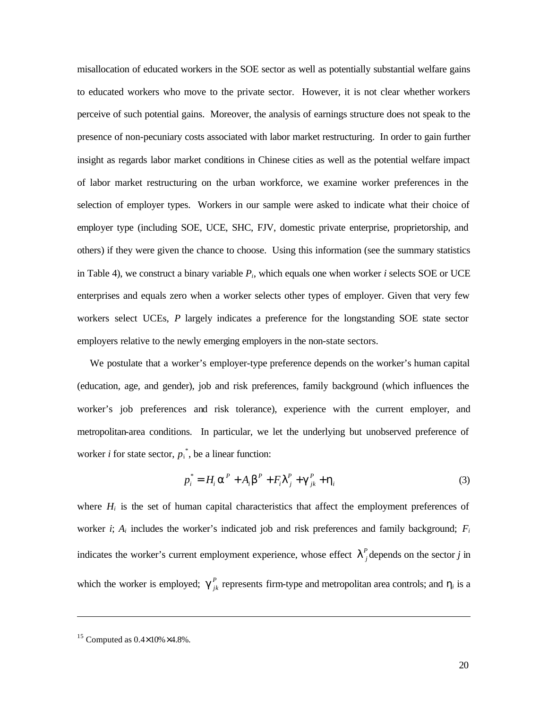misallocation of educated workers in the SOE sector as well as potentially substantial welfare gains to educated workers who move to the private sector. However, it is not clear whether workers perceive of such potential gains. Moreover, the analysis of earnings structure does not speak to the presence of non-pecuniary costs associated with labor market restructuring. In order to gain further insight as regards labor market conditions in Chinese cities as well as the potential welfare impact of labor market restructuring on the urban workforce, we examine worker preferences in the selection of employer types. Workers in our sample were asked to indicate what their choice of employer type (including SOE, UCE, SHC, FJV, domestic private enterprise, proprietorship, and others) if they were given the chance to choose. Using this information (see the summary statistics in Table 4), we construct a binary variable  $P_i$ , which equals one when worker *i* selects SOE or UCE enterprises and equals zero when a worker selects other types of employer. Given that very few workers select UCEs, *P* largely indicates a preference for the longstanding SOE state sector employers relative to the newly emerging employers in the non-state sectors.

We postulate that a worker's employer-type preference depends on the worker's human capital (education, age, and gender), job and risk preferences, family background (which influences the worker's job preferences and risk tolerance), experience with the current employer, and metropolitan-area conditions. In particular, we let the underlying but unobserved preference of worker *i* for state sector,  $p_i^*$ , be a linear function:

$$
p_i^* = H_i \mathbf{a}^P + A_i \mathbf{b}^P + F_i \mathbf{I}_j^P + \mathbf{g}_{jk}^P + \mathbf{h}_i
$$
 (3)

where  $H_i$  is the set of human capital characteristics that affect the employment preferences of worker *i*;  $A_i$  includes the worker's indicated job and risk preferences and family background;  $F_i$ indicates the worker's current employment experience, whose effect  $I<sup>p</sup><sub>j</sub>$  depends on the sector *j* in which the worker is employed;  $g_{jk}^P$  represents firm-type and metropolitan area controls; and  $h_i$  is a

<sup>&</sup>lt;sup>15</sup> Computed as  $0.4\times10\% \times 4.8\%$ .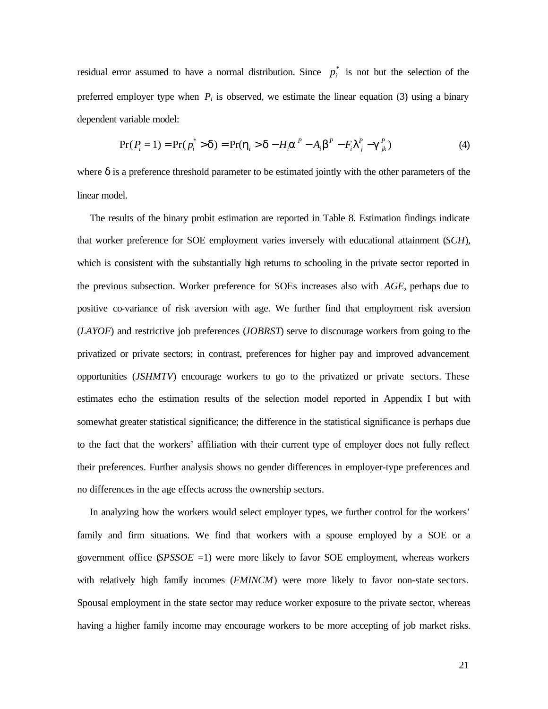residual error assumed to have a normal distribution. Since  $p_i^*$  is not but the selection of the preferred employer type when  $P_i$  is observed, we estimate the linear equation (3) using a binary dependent variable model:

$$
Pr(P_i = 1) = Pr(p_i^* > d) = Pr(h_i > d - H_i a^P - A_i b^P - F_i I^P_j - g^P_{jk})
$$
\n(4)

where  $\delta$  is a preference threshold parameter to be estimated jointly with the other parameters of the linear model.

The results of the binary probit estimation are reported in Table 8. Estimation findings indicate that worker preference for SOE employment varies inversely with educational attainment (*SCH*), which is consistent with the substantially high returns to schooling in the private sector reported in the previous subsection. Worker preference for SOEs increases also with *AGE*, perhaps due to positive co-variance of risk aversion with age. We further find that employment risk aversion (*LAYOF*) and restrictive job preferences (*JOBRST*) serve to discourage workers from going to the privatized or private sectors; in contrast, preferences for higher pay and improved advancement opportunities (*JSHMTV*) encourage workers to go to the privatized or private sectors. These estimates echo the estimation results of the selection model reported in Appendix I but with somewhat greater statistical significance; the difference in the statistical significance is perhaps due to the fact that the workers' affiliation with their current type of employer does not fully reflect their preferences. Further analysis shows no gender differences in employer-type preferences and no differences in the age effects across the ownership sectors.

In analyzing how the workers would select employer types, we further control for the workers' family and firm situations. We find that workers with a spouse employed by a SOE or a government office (*SPSSOE* =1) were more likely to favor SOE employment, whereas workers with relatively high family incomes (*FMINCM*) were more likely to favor non-state sectors. Spousal employment in the state sector may reduce worker exposure to the private sector, whereas having a higher family income may encourage workers to be more accepting of job market risks.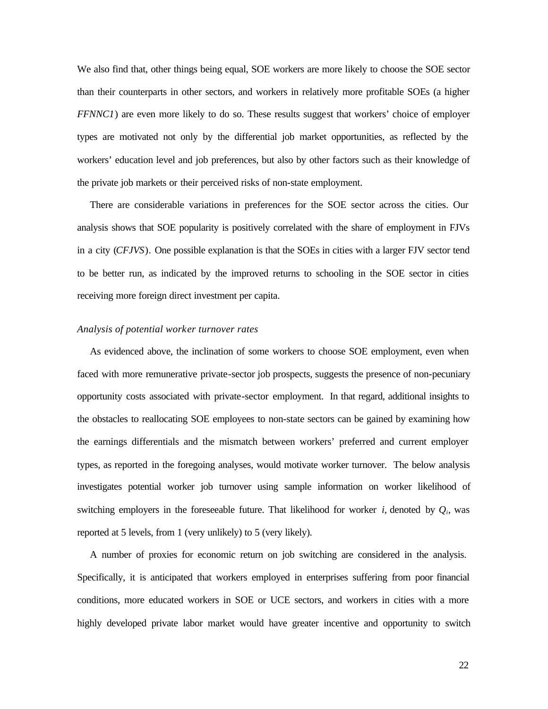We also find that, other things being equal, SOE workers are more likely to choose the SOE sector than their counterparts in other sectors, and workers in relatively more profitable SOEs (a higher *FFNNC1*) are even more likely to do so. These results suggest that workers' choice of employer types are motivated not only by the differential job market opportunities, as reflected by the workers' education level and job preferences, but also by other factors such as their knowledge of the private job markets or their perceived risks of non-state employment.

There are considerable variations in preferences for the SOE sector across the cities. Our analysis shows that SOE popularity is positively correlated with the share of employment in FJVs in a city (*CFJVS*). One possible explanation is that the SOEs in cities with a larger FJV sector tend to be better run, as indicated by the improved returns to schooling in the SOE sector in cities receiving more foreign direct investment per capita.

# *Analysis of potential worker turnover rates*

As evidenced above, the inclination of some workers to choose SOE employment, even when faced with more remunerative private-sector job prospects, suggests the presence of non-pecuniary opportunity costs associated with private-sector employment. In that regard, additional insights to the obstacles to reallocating SOE employees to non-state sectors can be gained by examining how the earnings differentials and the mismatch between workers' preferred and current employer types, as reported in the foregoing analyses, would motivate worker turnover. The below analysis investigates potential worker job turnover using sample information on worker likelihood of switching employers in the foreseeable future. That likelihood for worker  $i$ , denoted by  $Q_i$ , was reported at 5 levels, from 1 (very unlikely) to 5 (very likely).

A number of proxies for economic return on job switching are considered in the analysis. Specifically, it is anticipated that workers employed in enterprises suffering from poor financial conditions, more educated workers in SOE or UCE sectors, and workers in cities with a more highly developed private labor market would have greater incentive and opportunity to switch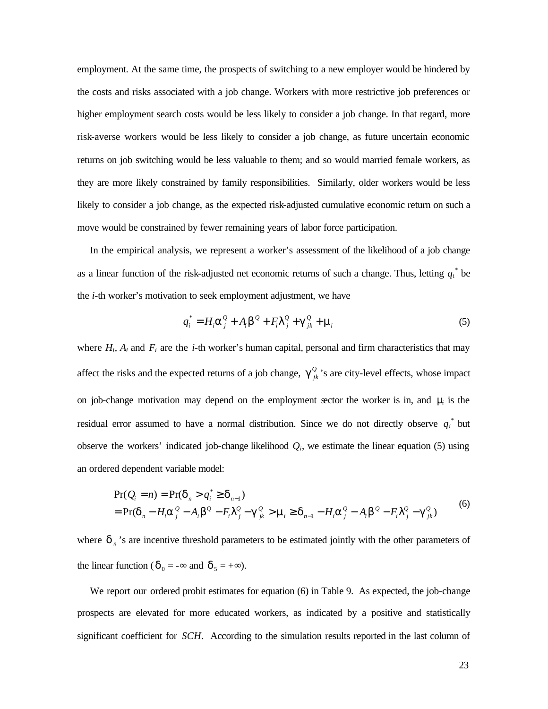employment. At the same time, the prospects of switching to a new employer would be hindered by the costs and risks associated with a job change. Workers with more restrictive job preferences or higher employment search costs would be less likely to consider a job change. In that regard, more risk-averse workers would be less likely to consider a job change, as future uncertain economic returns on job switching would be less valuable to them; and so would married female workers, as they are more likely constrained by family responsibilities. Similarly, older workers would be less likely to consider a job change, as the expected risk-adjusted cumulative economic return on such a move would be constrained by fewer remaining years of labor force participation.

In the empirical analysis, we represent a worker's assessment of the likelihood of a job change as a linear function of the risk-adjusted net economic returns of such a change. Thus, letting  $q_i^*$  be the *i*-th worker's motivation to seek employment adjustment, we have

$$
q_i^* = H_i \mathbf{a}_j^Q + A_i \mathbf{b}_j^Q + F_i \mathbf{I}_j^Q + \mathbf{g}_{jk}^Q + \mathbf{m}_i
$$
 (5)

where  $H_i$ ,  $A_i$  and  $F_i$  are the *i*-th worker's human capital, personal and firm characteristics that may affect the risks and the expected returns of a job change,  $g_{jk}^Q$ 's are city-level effects, whose impact on job-change motivation may depend on the employment sector the worker is in, and *m<sup>i</sup>* is the residual error assumed to have a normal distribution. Since we do not directly observe  $q_i^*$  but observe the workers' indicated job-change likelihood  $Q_i$ , we estimate the linear equation (5) using an ordered dependent variable model:

$$
Pr(Q_i = n) = Pr(\mathbf{d}_n > q_i^* \ge \mathbf{d}_{n-1})
$$
  
= Pr( $\mathbf{d}_n - H_i \mathbf{a}_j^Q - A_i \mathbf{b}_j^Q - F_i \mathbf{I}_j^Q - \mathbf{g}_{jk}^Q > \mathbf{m}_i \ge \mathbf{d}_{n-1} - H_i \mathbf{a}_j^Q - A_i \mathbf{b}_j^Q - F_i \mathbf{I}_j^Q - \mathbf{g}_{jk}^Q$  (6)

where  $\boldsymbol{d}_n$ 's are incentive threshold parameters to be estimated jointly with the other parameters of the linear function ( $\boldsymbol{d}_0 = -\infty$  and  $\boldsymbol{d}_5 = +\infty$ ).

We report our ordered probit estimates for equation (6) in Table 9. As expected, the job-change prospects are elevated for more educated workers, as indicated by a positive and statistically significant coefficient for *SCH*. According to the simulation results reported in the last column of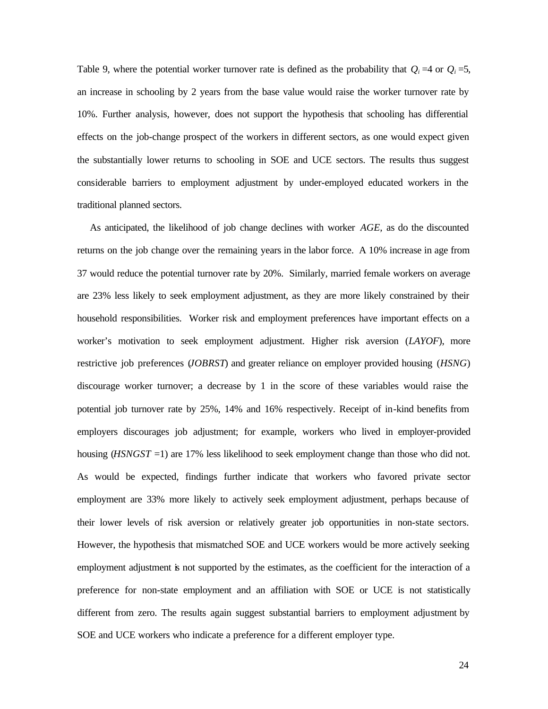Table 9, where the potential worker turnover rate is defined as the probability that  $Q_i = 4$  or  $Q_i = 5$ , an increase in schooling by 2 years from the base value would raise the worker turnover rate by 10%. Further analysis, however, does not support the hypothesis that schooling has differential effects on the job-change prospect of the workers in different sectors, as one would expect given the substantially lower returns to schooling in SOE and UCE sectors. The results thus suggest considerable barriers to employment adjustment by under-employed educated workers in the traditional planned sectors.

As anticipated, the likelihood of job change declines with worker *AGE,* as do the discounted returns on the job change over the remaining years in the labor force. A 10% increase in age from 37 would reduce the potential turnover rate by 20%. Similarly, married female workers on average are 23% less likely to seek employment adjustment, as they are more likely constrained by their household responsibilities. Worker risk and employment preferences have important effects on a worker's motivation to seek employment adjustment. Higher risk aversion (*LAYOF*), more restrictive job preferences (*JOBRST*) and greater reliance on employer provided housing (*HSNG*) discourage worker turnover; a decrease by 1 in the score of these variables would raise the potential job turnover rate by 25%, 14% and 16% respectively. Receipt of in-kind benefits from employers discourages job adjustment; for example, workers who lived in employer-provided housing (*HSNGST* =1) are 17% less likelihood to seek employment change than those who did not. As would be expected, findings further indicate that workers who favored private sector employment are 33% more likely to actively seek employment adjustment, perhaps because of their lower levels of risk aversion or relatively greater job opportunities in non-state sectors. However, the hypothesis that mismatched SOE and UCE workers would be more actively seeking employment adjustment is not supported by the estimates, as the coefficient for the interaction of a preference for non-state employment and an affiliation with SOE or UCE is not statistically different from zero. The results again suggest substantial barriers to employment adjustment by SOE and UCE workers who indicate a preference for a different employer type.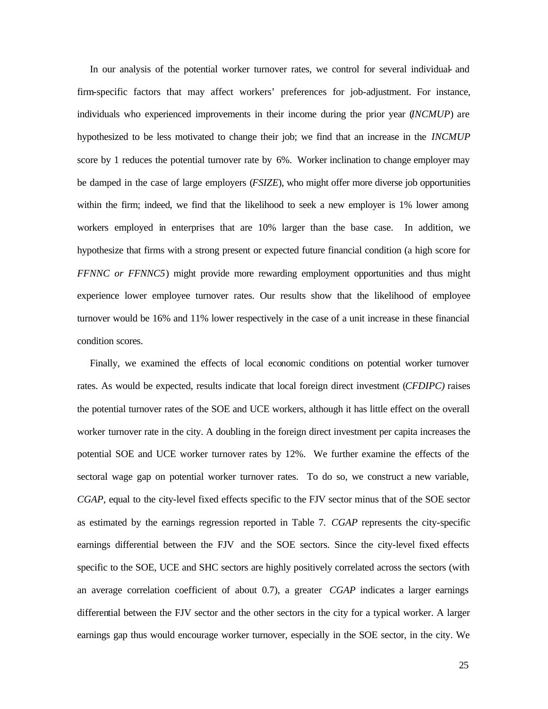In our analysis of the potential worker turnover rates, we control for several individual- and firm-specific factors that may affect workers' preferences for job-adjustment. For instance, individuals who experienced improvements in their income during the prior year (*INCMUP*) are hypothesized to be less motivated to change their job; we find that an increase in the *INCMUP* score by 1 reduces the potential turnover rate by 6%. Worker inclination to change employer may be damped in the case of large employers (*FSIZE*), who might offer more diverse job opportunities within the firm; indeed, we find that the likelihood to seek a new employer is 1% lower among workers employed in enterprises that are 10% larger than the base case. In addition, we hypothesize that firms with a strong present or expected future financial condition (a high score for *FFNNC or FFNNC5*) might provide more rewarding employment opportunities and thus might experience lower employee turnover rates. Our results show that the likelihood of employee turnover would be 16% and 11% lower respectively in the case of a unit increase in these financial condition scores.

Finally, we examined the effects of local economic conditions on potential worker turnover rates. As would be expected, results indicate that local foreign direct investment (*CFDIPC)* raises the potential turnover rates of the SOE and UCE workers, although it has little effect on the overall worker turnover rate in the city. A doubling in the foreign direct investment per capita increases the potential SOE and UCE worker turnover rates by 12%. We further examine the effects of the sectoral wage gap on potential worker turnover rates. To do so, we construct a new variable, *CGAP*, equal to the city-level fixed effects specific to the FJV sector minus that of the SOE sector as estimated by the earnings regression reported in Table 7. *CGAP* represents the city-specific earnings differential between the FJV and the SOE sectors. Since the city-level fixed effects specific to the SOE, UCE and SHC sectors are highly positively correlated across the sectors (with an average correlation coefficient of about 0.7), a greater *CGAP* indicates a larger earnings differential between the FJV sector and the other sectors in the city for a typical worker. A larger earnings gap thus would encourage worker turnover, especially in the SOE sector, in the city. We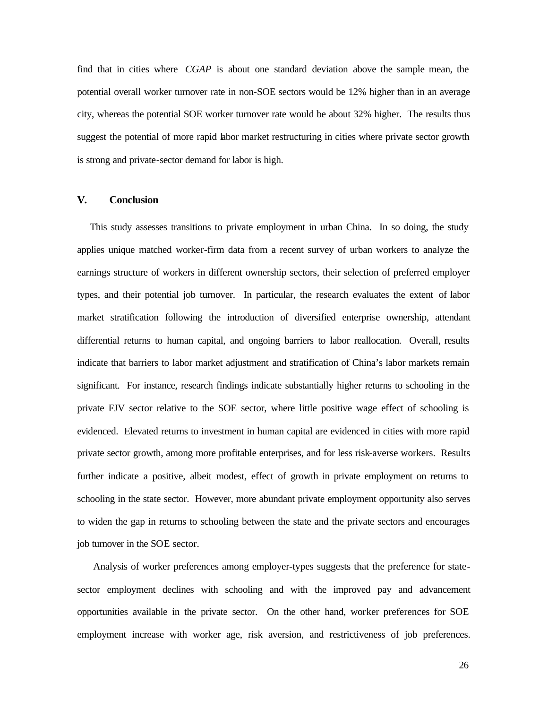find that in cities where *CGAP* is about one standard deviation above the sample mean, the potential overall worker turnover rate in non-SOE sectors would be 12% higher than in an average city, whereas the potential SOE worker turnover rate would be about 32% higher. The results thus suggest the potential of more rapid labor market restructuring in cities where private sector growth is strong and private-sector demand for labor is high.

# **V. Conclusion**

This study assesses transitions to private employment in urban China. In so doing, the study applies unique matched worker-firm data from a recent survey of urban workers to analyze the earnings structure of workers in different ownership sectors, their selection of preferred employer types, and their potential job turnover. In particular, the research evaluates the extent of labor market stratification following the introduction of diversified enterprise ownership, attendant differential returns to human capital, and ongoing barriers to labor reallocation*.* Overall, results indicate that barriers to labor market adjustment and stratification of China's labor markets remain significant. For instance, research findings indicate substantially higher returns to schooling in the private FJV sector relative to the SOE sector, where little positive wage effect of schooling is evidenced. Elevated returns to investment in human capital are evidenced in cities with more rapid private sector growth, among more profitable enterprises, and for less risk-averse workers. Results further indicate a positive, albeit modest, effect of growth in private employment on returns to schooling in the state sector. However, more abundant private employment opportunity also serves to widen the gap in returns to schooling between the state and the private sectors and encourages job turnover in the SOE sector.

 Analysis of worker preferences among employer-types suggests that the preference for statesector employment declines with schooling and with the improved pay and advancement opportunities available in the private sector. On the other hand, worker preferences for SOE employment increase with worker age, risk aversion, and restrictiveness of job preferences.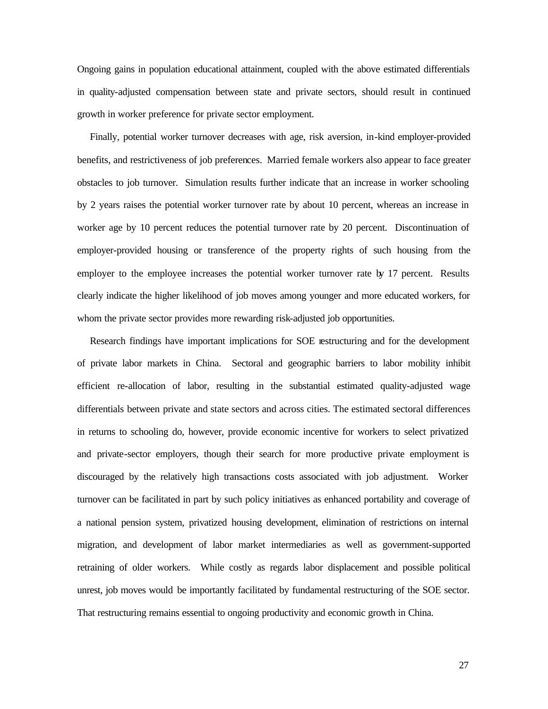Ongoing gains in population educational attainment, coupled with the above estimated differentials in quality-adjusted compensation between state and private sectors, should result in continued growth in worker preference for private sector employment.

Finally, potential worker turnover decreases with age, risk aversion, in-kind employer-provided benefits, and restrictiveness of job preferences. Married female workers also appear to face greater obstacles to job turnover. Simulation results further indicate that an increase in worker schooling by 2 years raises the potential worker turnover rate by about 10 percent, whereas an increase in worker age by 10 percent reduces the potential turnover rate by 20 percent. Discontinuation of employer-provided housing or transference of the property rights of such housing from the employer to the employee increases the potential worker turnover rate by 17 percent. Results clearly indicate the higher likelihood of job moves among younger and more educated workers, for whom the private sector provides more rewarding risk-adjusted job opportunities.

Research findings have important implications for SOE restructuring and for the development of private labor markets in China. Sectoral and geographic barriers to labor mobility inhibit efficient re-allocation of labor, resulting in the substantial estimated quality-adjusted wage differentials between private and state sectors and across cities. The estimated sectoral differences in returns to schooling do, however, provide economic incentive for workers to select privatized and private-sector employers, though their search for more productive private employment is discouraged by the relatively high transactions costs associated with job adjustment. Worker turnover can be facilitated in part by such policy initiatives as enhanced portability and coverage of a national pension system, privatized housing development, elimination of restrictions on internal migration, and development of labor market intermediaries as well as government-supported retraining of older workers. While costly as regards labor displacement and possible political unrest, job moves would be importantly facilitated by fundamental restructuring of the SOE sector. That restructuring remains essential to ongoing productivity and economic growth in China.

27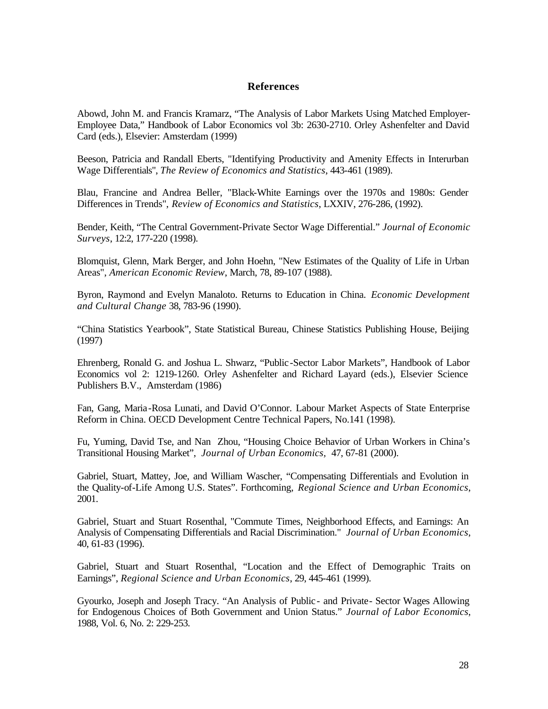# **References**

Abowd, John M. and Francis Kramarz, "The Analysis of Labor Markets Using Matched Employer-Employee Data," Handbook of Labor Economics vol 3b: 2630-2710. Orley Ashenfelter and David Card (eds.), Elsevier: Amsterdam (1999)

Beeson, Patricia and Randall Eberts, "Identifying Productivity and Amenity Effects in Interurban Wage Differentials", *The Review of Economics and Statistics*, 443-461 (1989).

Blau, Francine and Andrea Beller, "Black-White Earnings over the 1970s and 1980s: Gender Differences in Trends", *Review of Economics and Statistics*, LXXIV, 276-286, (1992).

Bender, Keith, "The Central Government-Private Sector Wage Differential." *Journal of Economic Surveys*, 12:2, 177-220 (1998).

Blomquist, Glenn, Mark Berger, and John Hoehn, "New Estimates of the Quality of Life in Urban Areas", *American Economic Review*, March, 78, 89-107 (1988).

Byron, Raymond and Evelyn Manaloto. Returns to Education in China. *Economic Development and Cultural Change* 38, 783-96 (1990).

"China Statistics Yearbook", State Statistical Bureau, Chinese Statistics Publishing House, Beijing (1997)

Ehrenberg, Ronald G. and Joshua L. Shwarz, "Public-Sector Labor Markets", Handbook of Labor Economics vol 2: 1219-1260. Orley Ashenfelter and Richard Layard (eds.), Elsevier Science Publishers B.V., Amsterdam (1986)

Fan, Gang, Maria-Rosa Lunati, and David O'Connor. Labour Market Aspects of State Enterprise Reform in China. OECD Development Centre Technical Papers, No.141 (1998).

Fu, Yuming, David Tse, and Nan Zhou, "Housing Choice Behavior of Urban Workers in China's Transitional Housing Market", *Journal of Urban Economics,* 47, 67-81 (2000).

Gabriel, Stuart, Mattey, Joe, and William Wascher, "Compensating Differentials and Evolution in the Quality-of-Life Among U.S. States". Forthcoming, *Regional Science and Urban Economics*, 2001.

Gabriel, Stuart and Stuart Rosenthal, "Commute Times, Neighborhood Effects, and Earnings: An Analysis of Compensating Differentials and Racial Discrimination." *Journal of Urban Economics*, 40, 61-83 (1996).

Gabriel, Stuart and Stuart Rosenthal, "Location and the Effect of Demographic Traits on Earnings", *Regional Science and Urban Economics*, 29, 445-461 (1999).

Gyourko, Joseph and Joseph Tracy. "An Analysis of Public - and Private- Sector Wages Allowing for Endogenous Choices of Both Government and Union Status." *Journal of Labor Economics*, 1988, Vol. 6, No. 2: 229-253.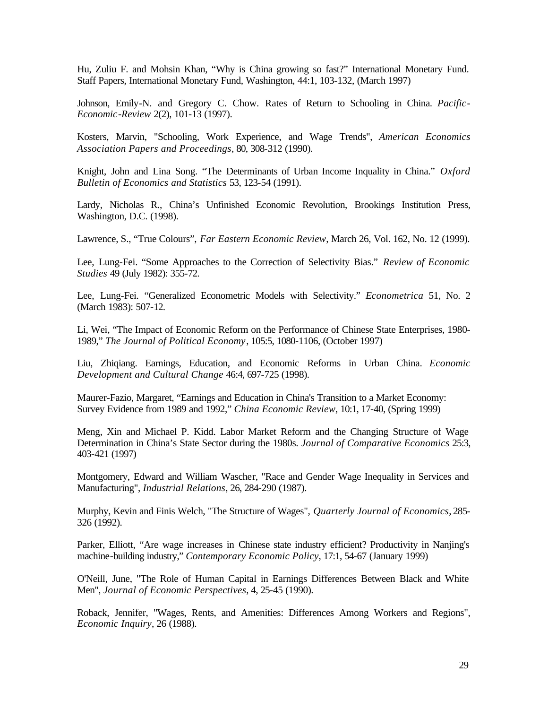Hu, Zuliu F. and Mohsin Khan, "Why is China growing so fast?" International Monetary Fund. Staff Papers, International Monetary Fund, Washington, 44:1, 103-132, (March 1997)

Johnson, Emily-N. and Gregory C. Chow. Rates of Return to Schooling in China. *Pacific-Economic-Review* 2(2), 101-13 (1997).

Kosters, Marvin, "Schooling, Work Experience, and Wage Trends", *American Economics Association Papers and Proceedings*, 80, 308-312 (1990).

Knight, John and Lina Song. "The Determinants of Urban Income Inquality in China." *Oxford Bulletin of Economics and Statistics* 53, 123-54 (1991).

Lardy, Nicholas R., China's Unfinished Economic Revolution, Brookings Institution Press, Washington, D.C. (1998).

Lawrence, S., "True Colours", *Far Eastern Economic Review*, March 26, Vol. 162, No. 12 (1999).

Lee, Lung-Fei. "Some Approaches to the Correction of Selectivity Bias." *Review of Economic Studies* 49 (July 1982): 355-72.

Lee, Lung-Fei. "Generalized Econometric Models with Selectivity." *Econometrica* 51, No. 2 (March 1983): 507-12.

Li, Wei, "The Impact of Economic Reform on the Performance of Chinese State Enterprises, 1980- 1989," *The Journal of Political Economy*, 105:5, 1080-1106, (October 1997)

Liu, Zhiqiang. Earnings, Education, and Economic Reforms in Urban China. *Economic Development and Cultural Change* 46:4, 697-725 (1998).

Maurer-Fazio, Margaret, "Earnings and Education in China's Transition to a Market Economy: Survey Evidence from 1989 and 1992," *China Economic Review*, 10:1, 17-40, (Spring 1999)

Meng, Xin and Michael P. Kidd. Labor Market Reform and the Changing Structure of Wage Determination in China's State Sector during the 1980s. *Journal of Comparative Economics* 25:3, 403-421 (1997)

Montgomery, Edward and William Wascher, "Race and Gender Wage Inequality in Services and Manufacturing", *Industrial Relations*, 26, 284-290 (1987).

Murphy, Kevin and Finis Welch, "The Structure of Wages", *Quarterly Journal of Economics*, 285- 326 (1992).

Parker, Elliott, "Are wage increases in Chinese state industry efficient? Productivity in Nanjing's machine-building industry," *Contemporary Economic Policy*, 17:1, 54-67 (January 1999)

O'Neill, June, "The Role of Human Capital in Earnings Differences Between Black and White Men", *Journal of Economic Perspectives*, 4, 25-45 (1990).

Roback, Jennifer, "Wages, Rents, and Amenities: Differences Among Workers and Regions", *Economic Inquiry*, 26 (1988).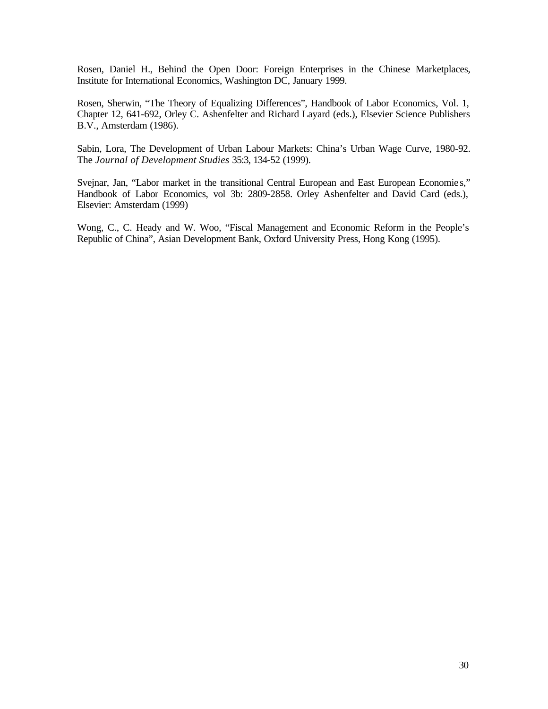Rosen, Daniel H., Behind the Open Door: Foreign Enterprises in the Chinese Marketplaces, Institute for International Economics, Washington DC, January 1999.

Rosen, Sherwin, "The Theory of Equalizing Differences", Handbook of Labor Economics, Vol. 1, Chapter 12, 641-692, Orley C. Ashenfelter and Richard Layard (eds.), Elsevier Science Publishers B.V., Amsterdam (1986).

Sabin, Lora, The Development of Urban Labour Markets: China's Urban Wage Curve, 1980-92. The *Journal of Development Studies* 35:3, 134-52 (1999).

Svejnar, Jan, "Labor market in the transitional Central European and East European Economie s," Handbook of Labor Economics, vol 3b: 2809-2858. Orley Ashenfelter and David Card (eds.), Elsevier: Amsterdam (1999)

Wong, C., C. Heady and W. Woo, "Fiscal Management and Economic Reform in the People's Republic of China", Asian Development Bank, Oxford University Press, Hong Kong (1995).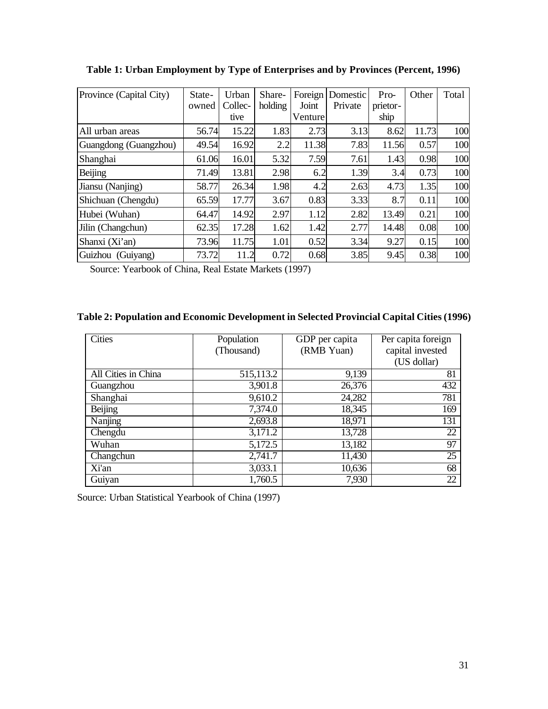| Province (Capital City) | State-<br>owned | Urban<br>Collec- | Share-<br>holding | Foreign<br>Joint | Domestic<br>Private | Pro-<br>prietor- | Other | Total |
|-------------------------|-----------------|------------------|-------------------|------------------|---------------------|------------------|-------|-------|
|                         |                 | tive             |                   | Venture          |                     | ship             |       |       |
| All urban areas         | 56.74           | 15.22            | 1.83              | 2.73             | 3.13                | 8.62             | 11.73 | 100   |
| Guangdong (Guangzhou)   | 49.54           | 16.92            | 2.2               | 11.38            | 7.83                | 11.56            | 0.57  | 100   |
| Shanghai                | 61.06           | 16.01            | 5.32              | 7.59             | 7.61                | 1.43             | 0.98  | 100   |
| Beijing                 | 71.49           | 13.81            | 2.98              | 6.2              | 1.39                | 3.4              | 0.73  | 100   |
| Jiansu (Nanjing)        | 58.77           | 26.34            | 1.98              | 4.2              | 2.63                | 4.73             | 1.35  | 100   |
| Shichuan (Chengdu)      | 65.59           | 17.77            | 3.67              | 0.83             | 3.33                | 8.7              | 0.11  | 100   |
| Hubei (Wuhan)           | 64.47           | 14.92            | 2.97              | 1.12             | 2.82                | 13.49            | 0.21  | 100   |
| Jilin (Changchun)       | 62.35           | 17.28            | 1.62              | 1.42             | 2.77                | 14.48            | 0.08  | 100   |
| Shanxi (Xi'an)          | 73.96           | 11.75            | 1.01              | 0.52             | 3.34                | 9.27             | 0.15  | 100   |
| Guizhou (Guiyang)       | 73.72           | 11.2             | 0.72              | 0.68             | 3.85                | 9.45             | 0.38  | 100   |

**Table 1: Urban Employment by Type of Enterprises and by Provinces (Percent, 1996)**

Source: Yearbook of China, Real Estate Markets (1997)

# **Table 2: Population and Economic Development in Selected Provincial Capital Cities (1996)**

| <b>Cities</b>       | Population | GDP per capita | Per capita foreign |
|---------------------|------------|----------------|--------------------|
|                     | (Thousand) | (RMB Yuan)     | capital invested   |
|                     |            |                | (US dollar)        |
| All Cities in China | 515,113.2  | 9,139          | 81                 |
| Guangzhou           | 3,901.8    | 26,376         | 432                |
| Shanghai            | 9,610.2    | 24,282         | 781                |
| Beijing             | 7,374.0    | 18,345         | 169                |
| Nanjing             | 2,693.8    | 18,971         | 131                |
| Chengdu             | 3,171.2    | 13,728         | 22                 |
| Wuhan               | 5,172.5    | 13,182         | 97                 |
| Changchun           | 2,741.7    | 11,430         | 25                 |
| Xi'an               | 3,033.1    | 10,636         | 68                 |
| Guiyan              | 1,760.5    | 7,930          | 22                 |

Source: Urban Statistical Yearbook of China (1997)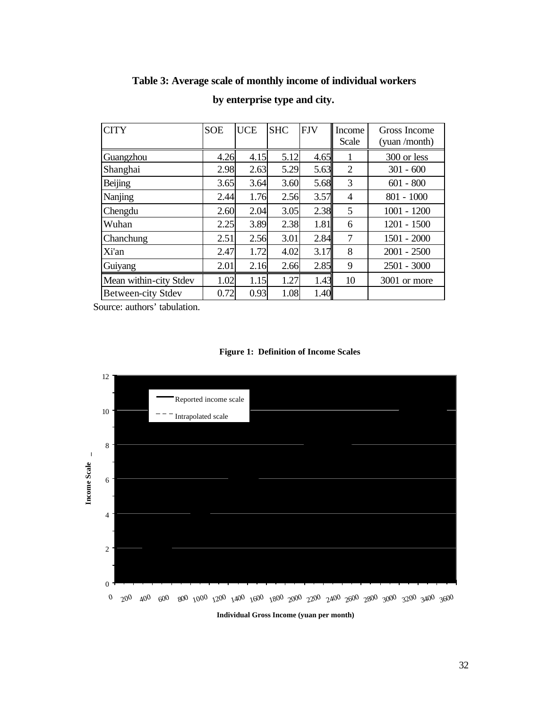| <b>CITY</b>               | <b>SOE</b> | <b>UCE</b> | <b>SHC</b> | <b>FJV</b> | Income<br>Scale | Gross Income<br>(yuan /month) |
|---------------------------|------------|------------|------------|------------|-----------------|-------------------------------|
| Guangzhou                 | 4.26       | 4.15       | 5.12       | 4.65       | 1               | 300 or less                   |
| Shanghai                  | 2.98       | 2.63       | 5.29       | 5.63       | $\overline{2}$  | $301 - 600$                   |
| Beijing                   | 3.65       | 3.64       | 3.60       | 5.68       | 3               | $601 - 800$                   |
| Nanjing                   | 2.44       | 1.76       | 2.56       | 3.57       | 4               | $801 - 1000$                  |
| Chengdu                   | 2.60       | 2.04       | 3.05       | 2.38       | 5               | $1001 - 1200$                 |
| Wuhan                     | 2.25       | 3.89       | 2.38       | 1.81       | 6               | $1201 - 1500$                 |
| Chanchung                 | 2.51       | 2.56       | 3.01       | 2.84       | 7               | $1501 - 2000$                 |
| Xi'an                     | 2.47       | 1.72       | 4.02       | 3.17       | 8               | $2001 - 2500$                 |
| Guiyang                   | 2.01       | 2.16       | 2.66       | 2.85       | 9               | $2501 - 3000$                 |
| Mean within-city Stdev    | 1.02       | 1.15       | 1.27       | 1.43       | 10              | 3001 or more                  |
| <b>Between-city Stdev</b> | 0.72       | 0.93       | 1.08       | 1.40       |                 |                               |

# **Table 3: Average scale of monthly income of individual workers**

**by enterprise type and city.**

Source: authors' tabulation.





**Individual Gross Income (yuan per month)**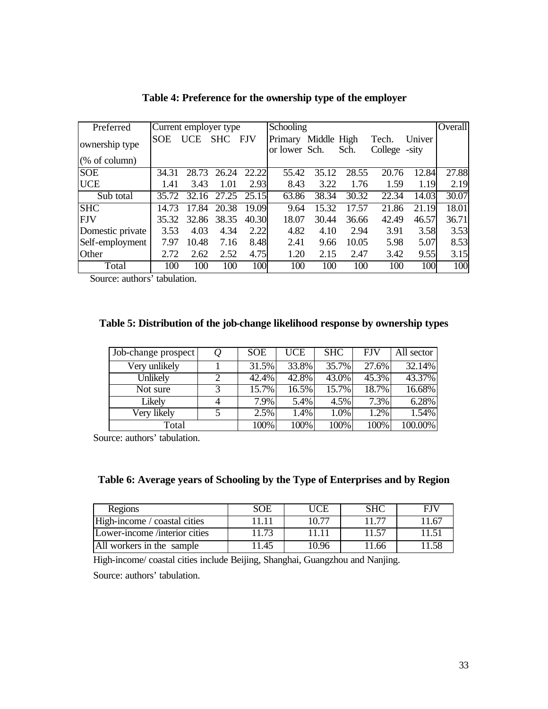| Preferred                | Current employer type |            |            |       | Schooling                |             |       |                        |        | <b>Overall</b> |
|--------------------------|-----------------------|------------|------------|-------|--------------------------|-------------|-------|------------------------|--------|----------------|
| ownership type           | <b>SOE</b>            | <b>UCE</b> | <b>SHC</b> | - FJV | Primary<br>or lower Sch. | Middle High | Sch.  | Tech.<br>College -sity | Univer |                |
| $(\% \text{ of column})$ |                       |            |            |       |                          |             |       |                        |        |                |
| <b>SOE</b>               | 34.31                 | 28.73      | 26.24      | 22.22 | 55.42                    | 35.12       | 28.55 | 20.76                  | 12.84  | 27.88          |
| <b>UCE</b>               | 1.41                  | 3.43       | 1.01       | 2.93  | 8.43                     | 3.22        | 1.76  | 1.59                   | 1.19   | 2.19           |
| Sub total                | 35.72                 | 32.16      | 27.25      | 25.15 | 63.86                    | 38.34       | 30.32 | 22.34                  | 14.03  | 30.07          |
| <b>SHC</b>               | 14.73                 | 17.84      | 20.38      | 19.09 | 9.64                     | 15.32       | 17.57 | 21.86                  | 21.19  | 18.01          |
| <b>FJV</b>               | 35.32                 | 32.86      | 38.35      | 40.30 | 18.07                    | 30.44       | 36.66 | 42.49                  | 46.57  | 36.71          |
| Domestic private         | 3.53                  | 4.03       | 4.34       | 2.22  | 4.82                     | 4.10        | 2.94  | 3.91                   | 3.58   | 3.53           |
| Self-employment          | 7.97                  | 10.48      | 7.16       | 8.48  | 2.41                     | 9.66        | 10.05 | 5.98                   | 5.07   | 8.53           |
| Other                    | 2.72                  | 2.62       | 2.52       | 4.75  | 1.20                     | 2.15        | 2.47  | 3.42                   | 9.55   | 3.15           |
| Total                    | 100                   | 100        | 100        | 100   | 100                      | 100         | 100   | 100                    | 100    | 100            |

**Table 4: Preference for the ownership type of the employer**

Source: authors' tabulation.

# **Table 5: Distribution of the job-change likelihood response by ownership types**

| Job-change prospect | Q            | <b>SOE</b> | <b>UCE</b> | <b>SHC</b> | <b>FJV</b> | All sector |
|---------------------|--------------|------------|------------|------------|------------|------------|
| Very unlikely       |              | 31.5%      | 33.8%      | 35.7%      | 27.6%      | 32.14%     |
| Unlikely            |              | 42.4%      | 42.8%      | 43.0%      | 45.3%      | 43.37%     |
| Not sure            | $\mathbf{z}$ | 15.7%      | 16.5%      | 15.7%      | 18.7%      | 16.68%     |
| Likely              |              | 7.9%       | 5.4%       | 4.5%       | 7.3%       | 6.28%      |
| Very likely         |              | 2.5%       | 1.4%       | 1.0%       | 1.2%       | 1.54%      |
| Total               |              | 100%       | 100%       | 100%       | 100%       | 100.00%    |

Source: authors' tabulation.

# **Table 6: Average years of Schooling by the Type of Enterprises and by Region**

| Regions                       | SOE  | UCE   | SHC  | FIJ |
|-------------------------------|------|-------|------|-----|
| High-income / coastal cities  |      | 10.77 |      | 167 |
| Lower-income /interior cities | 1.73 |       |      |     |
| All workers in the sample     | 1.45 | 10.96 | 1.66 |     |

High-income/ coastal cities include Beijing, Shanghai, Guangzhou and Nanjing.

Source: authors' tabulation.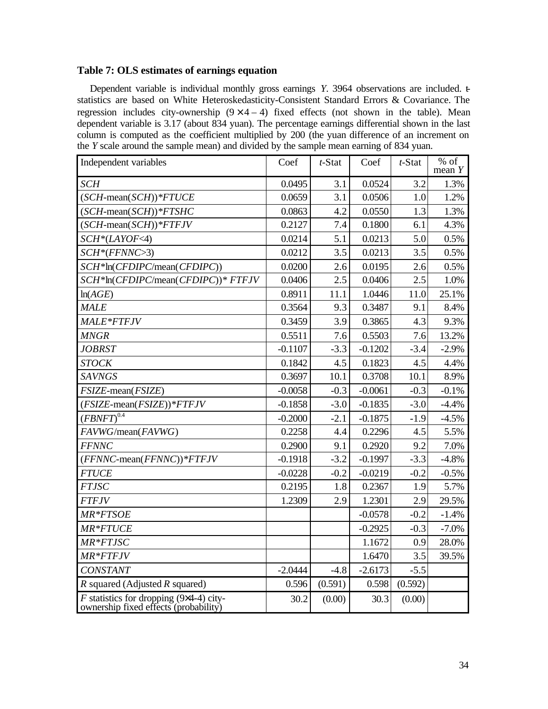# **Table 7: OLS estimates of earnings equation**

Dependent variable is individual monthly gross earnings *Y*. 3964 observations are included. tstatistics are based on White Heteroskedasticity-Consistent Standard Errors & Covariance. The regression includes city-ownership  $(9 \times 4 - 4)$  fixed effects (not shown in the table). Mean dependent variable is 3.17 (about 834 yuan). The percentage earnings differential shown in the last column is computed as the coefficient multiplied by 200 (the yuan difference of an increment on the *Y* scale around the sample mean) and divided by the sample mean earning of 834 yuan.

| Independent variables                                                                   | Coef      | $t$ -Stat | Coef      | $t$ -Stat | $%$ of<br>mean $Y$ |
|-----------------------------------------------------------------------------------------|-----------|-----------|-----------|-----------|--------------------|
| <b>SCH</b>                                                                              | 0.0495    | 3.1       | 0.0524    | 3.2       | 1.3%               |
| $(SCH-mean(SCH))^* FTUCE$                                                               | 0.0659    | 3.1       | 0.0506    | 1.0       | 1.2%               |
| $(SCH$ -mean $(SCH))^*$ FTSHC                                                           | 0.0863    | 4.2       | 0.0550    | 1.3       | 1.3%               |
| $(SCH$ -mean $(SCH))$ * $FTFJV$                                                         | 0.2127    | 7.4       | 0.1800    | 6.1       | 4.3%               |
| $SCH*(LAYOF<4)$                                                                         | 0.0214    | 5.1       | 0.0213    | 5.0       | 0.5%               |
| $SCH*(FFNNC>3)$                                                                         | 0.0212    | 3.5       | 0.0213    | 3.5       | 0.5%               |
| SCH*ln(CFDIPC/mean(CFDIPC))                                                             | 0.0200    | 2.6       | 0.0195    | 2.6       | 0.5%               |
| SCH*In(CFDIPC/mean(CFDIPC))* FTFJV                                                      | 0.0406    | 2.5       | 0.0406    | 2.5       | 1.0%               |
| ln(AGE)                                                                                 | 0.8911    | 11.1      | 1.0446    | 11.0      | 25.1%              |
| <b>MALE</b>                                                                             | 0.3564    | 9.3       | 0.3487    | 9.1       | 8.4%               |
| <b>MALE*FTFJV</b>                                                                       | 0.3459    | 3.9       | 0.3865    | 4.3       | 9.3%               |
| <b>MNGR</b>                                                                             | 0.5511    | 7.6       | 0.5503    | 7.6       | 13.2%              |
| <b>JOBRST</b>                                                                           | $-0.1107$ | $-3.3$    | $-0.1202$ | $-3.4$    | $-2.9%$            |
| <b>STOCK</b>                                                                            | 0.1842    | 4.5       | 0.1823    | 4.5       | 4.4%               |
| <b>SAVNGS</b>                                                                           | 0.3697    | 10.1      | 0.3708    | 10.1      | 8.9%               |
| FSIZE-mean(FSIZE)                                                                       | $-0.0058$ | $-0.3$    | $-0.0061$ | $-0.3$    | $-0.1%$            |
| $(FSIZE-mean(FSIZE))*FTFJV$                                                             | $-0.1858$ | $-3.0$    | $-0.1835$ | $-3.0$    | $-4.4%$            |
| $(FBNFT)^{\overline{0.4}}$                                                              | $-0.2000$ | $-2.1$    | $-0.1875$ | $-1.9$    | $-4.5%$            |
| FAVWG/mean(FAVWG)                                                                       | 0.2258    | 4.4       | 0.2296    | 4.5       | 5.5%               |
| <b>FFNNC</b>                                                                            | 0.2900    | 9.1       | 0.2920    | 9.2       | 7.0%               |
| $(FFNNC$ -mean $(FFNNC))^*$ FTFJV                                                       | $-0.1918$ | $-3.2$    | $-0.1997$ | $-3.3$    | $-4.8%$            |
| <b>FTUCE</b>                                                                            | $-0.0228$ | $-0.2$    | $-0.0219$ | $-0.2$    | $-0.5%$            |
| <b>FTJSC</b>                                                                            | 0.2195    | 1.8       | 0.2367    | 1.9       | 5.7%               |
| <b>FTFJV</b>                                                                            | 1.2309    | 2.9       | 1.2301    | 2.9       | 29.5%              |
| MR*FTSOE                                                                                |           |           | $-0.0578$ | $-0.2$    | $-1.4%$            |
| MR*FTUCE                                                                                |           |           | $-0.2925$ | $-0.3$    | $-7.0%$            |
| MR*FTJSC                                                                                |           |           | 1.1672    | 0.9       | 28.0%              |
| MR*FTFJV                                                                                |           |           | 1.6470    | 3.5       | 39.5%              |
| <b>CONSTANT</b>                                                                         | $-2.0444$ | $-4.8$    | $-2.6173$ | $-5.5$    |                    |
| $R$ squared (Adjusted $R$ squared)                                                      | 0.596     | (0.591)   | 0.598     | (0.592)   |                    |
| <i>F</i> statistics for dropping (9x4-4) city-<br>ownership fixed effects (probability) | 30.2      | (0.00)    | 30.3      | (0.00)    |                    |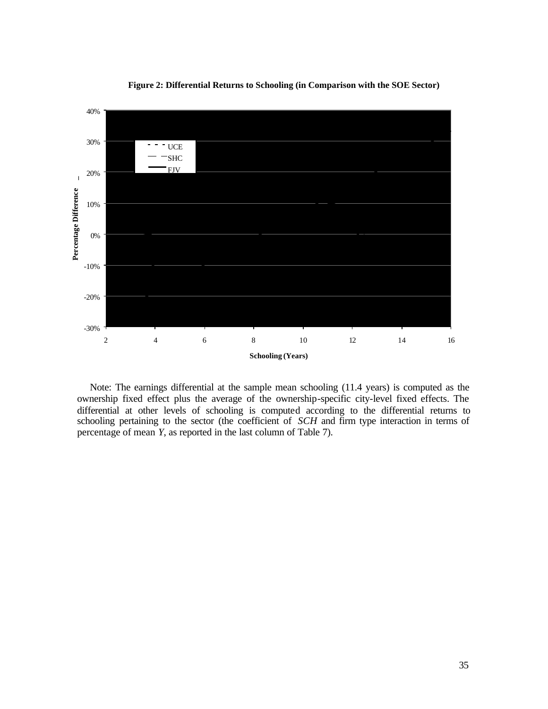

**Figure 2: Differential Returns to Schooling (in Comparison with the SOE Sector)**

Note: The earnings differential at the sample mean schooling (11.4 years) is computed as the ownership fixed effect plus the average of the ownership-specific city-level fixed effects. The differential at other levels of schooling is computed according to the differential returns to schooling pertaining to the sector (the coefficient of *SCH* and firm type interaction in terms of percentage of mean *Y*, as reported in the last column of Table 7).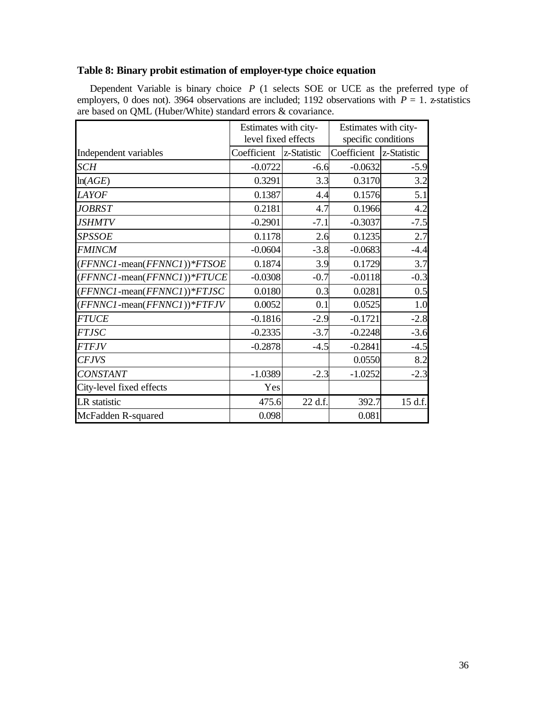# **Table 8: Binary probit estimation of employer-type choice equation**

Dependent Variable is binary choice *P* (1 selects SOE or UCE as the preferred type of employers, 0 does not). 3964 observations are included; 1192 observations with  $P = 1$ . z-statistics are based on QML (Huber/White) standard errors & covariance.

|                                     | Estimates with city-<br>level fixed effects |             | Estimates with city-<br>specific conditions |             |
|-------------------------------------|---------------------------------------------|-------------|---------------------------------------------|-------------|
| Independent variables               | Coefficient                                 | z-Statistic | Coefficient                                 | z-Statistic |
| <b>SCH</b>                          | $-0.0722$                                   | $-6.6$      | $-0.0632$                                   | $-5.9$      |
| ln(AGE)                             | 0.3291                                      | 3.3         | 0.3170                                      | 3.2         |
| <b>LAYOF</b>                        | 0.1387                                      | 4.4         | 0.1576                                      | 5.1         |
| <b>JOBRST</b>                       | 0.2181                                      | 4.7         | 0.1966                                      | 4.2         |
| <b>JSHMTV</b>                       | $-0.2901$                                   | $-7.1$      | $-0.3037$                                   | $-7.5$      |
| <b>SPSSOE</b>                       | 0.1178                                      | 2.6         | 0.1235                                      | 2.7         |
| <b>FMINCM</b>                       | $-0.0604$                                   | $-3.8$      | $-0.0683$                                   | $-4.4$      |
| $(FFNNC1$ -mean $(FFNNC1))^*FTSOE$  | 0.1874                                      | 3.9         | 0.1729                                      | 3.7         |
| $(FFNNC1$ -mean $(FFNNC1))^*FTUCE$  | $-0.0308$                                   | $-0.7$      | $-0.0118$                                   | $-0.3$      |
| $(FFNNC1$ -mean $(FFNNC1))^*FTJSC$  | 0.0180                                      | 0.3         | 0.0281                                      | 0.5         |
| $(FFNNC1$ -mean $(FFNNC1))^*$ FTFJV | 0.0052                                      | 0.1         | 0.0525                                      | 1.0         |
| <b>FTUCE</b>                        | $-0.1816$                                   | $-2.9$      | $-0.1721$                                   | $-2.8$      |
| <b>FTJSC</b>                        | $-0.2335$                                   | $-3.7$      | $-0.2248$                                   | $-3.6$      |
| <b>FTFJV</b>                        | $-0.2878$                                   | $-4.5$      | $-0.2841$                                   | $-4.5$      |
| <b>CFJVS</b>                        |                                             |             | 0.0550                                      | 8.2         |
| <b>CONSTANT</b>                     | $-1.0389$                                   | $-2.3$      | $-1.0252$                                   | $-2.3$      |
| City-level fixed effects            | Yes                                         |             |                                             |             |
| LR statistic                        | 475.6                                       | 22 d.f.     | 392.7                                       | 15 d.f.     |
| McFadden R-squared                  | 0.098                                       |             | 0.081                                       |             |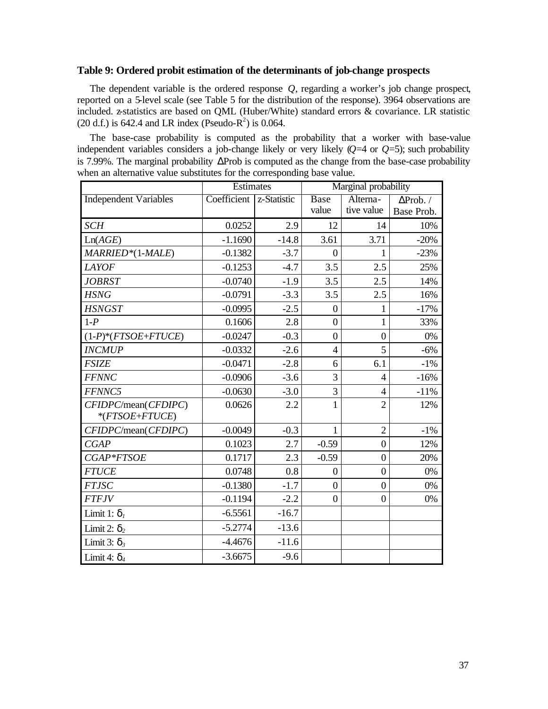# **Table 9: Ordered probit estimation of the determinants of job-change prospects**

The dependent variable is the ordered response *Q*, regarding a worker's job change prospect, reported on a 5-level scale (see Table 5 for the distribution of the response). 3964 observations are included. z-statistics are based on QML (Huber/White) standard errors & covariance. LR statistic  $(20 d.f.)$  is 642.4 and LR index (Pseudo-R<sup>2</sup>) is 0.064.

The base-case probability is computed as the probability that a worker with base-value independent variables considers a job-change likely or very likely (*Q*=4 or *Q*=5); such probability is 7.99%. The marginal probability ΔProb is computed as the change from the base-case probability when an alternative value substitutes for the corresponding base value.

|                                          | Estimates   |             | Marginal probability |                  |                  |  |
|------------------------------------------|-------------|-------------|----------------------|------------------|------------------|--|
| <b>Independent Variables</b>             | Coefficient | z-Statistic | <b>Base</b>          | Alterna-         | $\Delta$ Prob. / |  |
|                                          |             |             | value                | tive value       | Base Prob.       |  |
| <b>SCH</b>                               | 0.0252      | 2.9         | 12                   | 14               | 10%              |  |
| Ln(AGE)                                  | $-1.1690$   | $-14.8$     | 3.61                 | 3.71             | $-20%$           |  |
| MARRIED*(1-MALE)                         | $-0.1382$   | $-3.7$      | $\theta$             | 1                | $-23%$           |  |
| <b>LAYOF</b>                             | $-0.1253$   | $-4.7$      | 3.5                  | 2.5              | 25%              |  |
| <b>JOBRST</b>                            | $-0.0740$   | $-1.9$      | 3.5                  | 2.5              | 14%              |  |
| <b>HSNG</b>                              | $-0.0791$   | $-3.3$      | 3.5                  | 2.5              | 16%              |  |
| <b>HSNGST</b>                            | $-0.0995$   | $-2.5$      | $\overline{0}$       | 1                | $-17%$           |  |
| $1-P$                                    | 0.1606      | 2.8         | $\overline{0}$       | $\mathbf{1}$     | 33%              |  |
| $(1-P)^*(FTSOE+FTUCE)$                   | $-0.0247$   | $-0.3$      | $\overline{0}$       | $\overline{0}$   | 0%               |  |
| <b>INCMUP</b>                            | $-0.0332$   | $-2.6$      | $\overline{4}$       | 5                | $-6%$            |  |
| <b>FSIZE</b>                             | $-0.0471$   | $-2.8$      | 6                    | 6.1              | $-1\%$           |  |
| <b>FFNNC</b>                             | $-0.0906$   | $-3.6$      | 3                    | $\overline{4}$   | $-16%$           |  |
| FFNNC5                                   | $-0.0630$   | $-3.0$      | $\overline{3}$       | $\overline{4}$   | $-11%$           |  |
| CFIDPC/mean(CFDIPC)<br>$*$ (FTSOE+FTUCE) | 0.0626      | 2.2         | $\mathbf{1}$         | $\overline{2}$   | 12%              |  |
| CFIDPC/mean(CFDIPC)                      | $-0.0049$   | $-0.3$      | $\mathbf{1}$         | $\overline{2}$   | $-1\%$           |  |
| CGAP                                     | 0.1023      | 2.7         | $-0.59$              | $\boldsymbol{0}$ | 12%              |  |
| CGAP*FTSOE                               | 0.1717      | 2.3         | $-0.59$              | $\boldsymbol{0}$ | 20%              |  |
| <b>FTUCE</b>                             | 0.0748      | 0.8         | $\boldsymbol{0}$     | $\boldsymbol{0}$ | 0%               |  |
| <b>FTJSC</b>                             | $-0.1380$   | $-1.7$      | $\boldsymbol{0}$     | $\boldsymbol{0}$ | 0%               |  |
| <b>FTFJV</b>                             | $-0.1194$   | $-2.2$      | $\boldsymbol{0}$     | $\boldsymbol{0}$ | 0%               |  |
| Limit 1: $d_i$                           | $-6.5561$   | $-16.7$     |                      |                  |                  |  |
| Limit 2: $d_2$                           | $-5.2774$   | $-13.6$     |                      |                  |                  |  |
| Limit 3: $d_3$                           | $-4.4676$   | $-11.6$     |                      |                  |                  |  |
| Limit 4: $d_4$                           | $-3.6675$   | $-9.6$      |                      |                  |                  |  |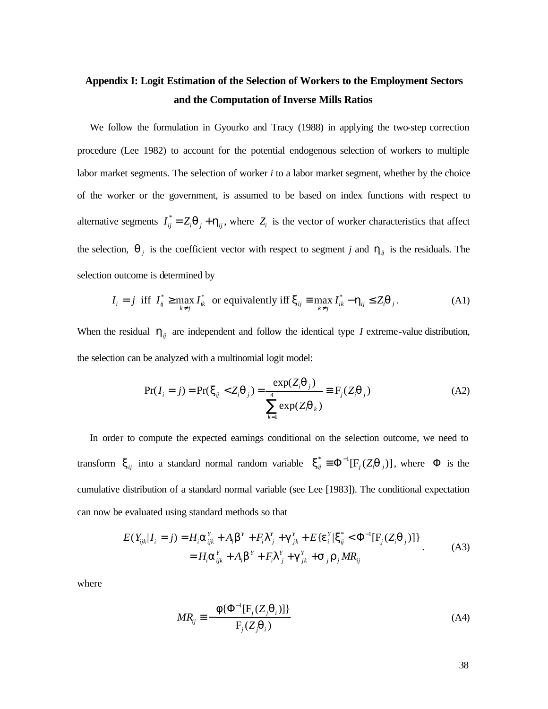# **Appendix I: Logit Estimation of the Selection of Workers to the Employment Sectors and the Computation of Inverse Mills Ratios**

We follow the formulation in Gyourko and Tracy (1988) in applying the two-step correction procedure (Lee 1982) to account for the potential endogenous selection of workers to multiple labor market segments. The selection of worker *i* to a labor market segment, whether by the choice of the worker or the government, is assumed to be based on index functions with respect to alternative segments  $I_{ij}^* = Z_i \mathbf{q}_j + \mathbf{h}_{ij}$ , where  $Z_i$  is the vector of worker characteristics that affect the selection,  $q_i$  is the coefficient vector with respect to segment *j* and  $h_{ij}$  is the residuals. The selection outcome is determined by

$$
I_i = j \text{ iff } I_{ij}^* \ge \max_{k \neq j} I_{ik}^* \text{ or equivalently iff } \mathbf{x}_{ij} \equiv \max_{k \neq j} I_{ik}^* - \mathbf{h}_{ij} \le Z_i \mathbf{q}_j. \tag{A1}
$$

When the residual  $h_{ij}$  are independent and follow the identical type *I* extreme-value distribution, the selection can be analyzed with a multinomial logit model:

$$
Pr(I_i = j) = Pr(\mathbf{x}_{ij} < Z_i \mathbf{q}_j) = \frac{\exp(Z_i \mathbf{q}_j)}{\sum_{k=1}^4 \exp(Z_i \mathbf{q}_k)} \equiv F_j(Z_i \mathbf{q}_j) \tag{A2}
$$

In order to compute the expected earnings conditional on the selection outcome, we need to transform  $\mathbf{x}_{ij}$  into a standard normal random variable  $\mathbf{x}_{ij}^* = \Phi^{-1}[\mathbf{F}_j(Z_i \mathbf{q}_{j})]$ , where  $\Phi$  is the cumulative distribution of a standard normal variable (see Lee [1983]). The conditional expectation can now be evaluated using standard methods so that

$$
E(Y_{ijk}|I_i = j) = H_i \mathbf{a}_{ijk}^Y + A_i \mathbf{b}^Y + F_i \mathbf{I}_{j}^Y + \mathbf{g}_{jk}^Y + E\{\mathbf{e}_i^Y | \mathbf{x}_{ij}^* < \Phi^{-1}[\mathbf{F}_j(Z_i \mathbf{q}_j)]\}
$$
  
=  $H_i \mathbf{a}_{ijk}^Y + A_i \mathbf{b}^Y + F_i \mathbf{I}_{j}^Y + \mathbf{g}_{jk}^Y + \mathbf{s}_{j} \mathbf{r}_{j} M R_{ij}$  (A3)

where

$$
MR_{ij} \equiv -\frac{\mathbf{f}\{\Phi^{-1}[\mathbf{F}_j(Z_j\mathbf{q}_i)]\}}{\mathbf{F}_j(Z_j\mathbf{q}_i)}
$$
(A4)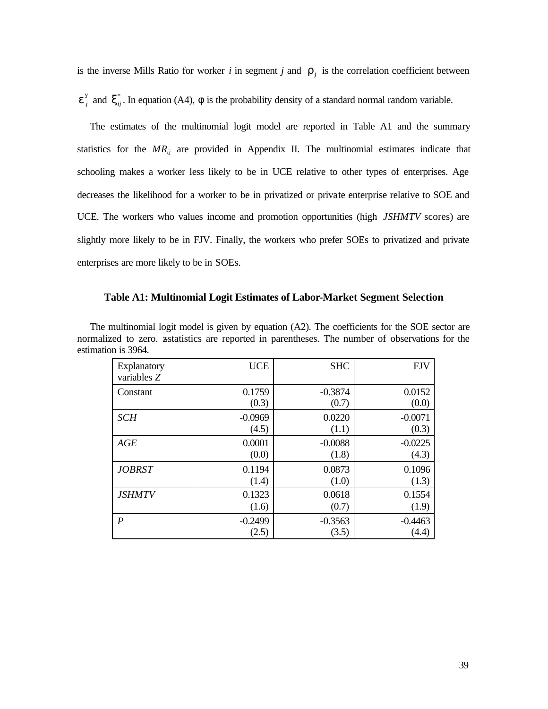is the inverse Mills Ratio for worker *i* in segment *j* and  $\mathbf{r}_j$  is the correlation coefficient between

 $e_j^Y$  and  $x_{ij}^*$ . In equation (A4),  $f$  is the probability density of a standard normal random variable.

The estimates of the multinomial logit model are reported in Table A1 and the summary statistics for the  $MR_{ij}$  are provided in Appendix II. The multinomial estimates indicate that schooling makes a worker less likely to be in UCE relative to other types of enterprises. Age decreases the likelihood for a worker to be in privatized or private enterprise relative to SOE and UCE. The workers who values income and promotion opportunities (high *JSHMTV* scores) are slightly more likely to be in FJV. Finally, the workers who prefer SOEs to privatized and private enterprises are more likely to be in SOEs.

#### **Table A1: Multinomial Logit Estimates of Labor-Market Segment Selection**

| UII 13 J.U <del>.I</del> . |            |            |            |
|----------------------------|------------|------------|------------|
| Explanatory<br>variables Z | <b>UCE</b> | <b>SHC</b> | <b>FJV</b> |
| Constant                   | 0.1759     | $-0.3874$  | 0.0152     |
|                            | (0.3)      | (0.7)      | (0.0)      |
| <b>SCH</b>                 | $-0.0969$  | 0.0220     | $-0.0071$  |
|                            | (4.5)      | (1.1)      | (0.3)      |
| AGE                        | 0.0001     | $-0.0088$  | $-0.0225$  |
|                            | (0.0)      | (1.8)      | (4.3)      |
| <b>JOBRST</b>              | 0.1194     | 0.0873     | 0.1096     |
|                            | (1.4)      | (1.0)      | (1.3)      |
| <b>JSHMTV</b>              | 0.1323     | 0.0618     | 0.1554     |
|                            | (1.6)      | (0.7)      | (1.9)      |
| $\boldsymbol{P}$           | $-0.2499$  | $-0.3563$  | $-0.4463$  |
|                            | (2.5)      | (3.5)      | (4.4)      |

The multinomial logit model is given by equation (A2). The coefficients for the SOE sector are normalized to zero. zstatistics are reported in parentheses. The number of observations for the estimation is 3964.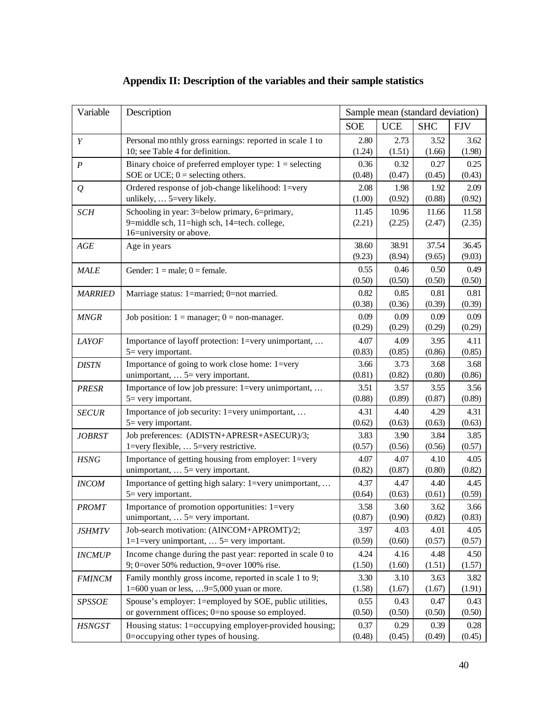| Variable       | Description                                                                                 |                |                | Sample mean (standard deviation) |                |
|----------------|---------------------------------------------------------------------------------------------|----------------|----------------|----------------------------------|----------------|
|                |                                                                                             | <b>SOE</b>     | <b>UCE</b>     | <b>SHC</b>                       | <b>FJV</b>     |
| Y              | Personal monthly gross earnings: reported in scale 1 to                                     | 2.80           | 2.73           | 3.52                             | 3.62           |
|                | 10; see Table 4 for definition.                                                             | (1.24)         | (1.51)         | (1.66)                           | (1.98)         |
| P              | Binary choice of preferred employer type: $1 =$ selecting                                   | 0.36           | 0.32           | 0.27                             | 0.25           |
|                | SOE or UCE; $0 =$ selecting others.                                                         | (0.48)         | (0.47)         | (0.45)                           | (0.43)         |
| $\varrho$      | Ordered response of job-change likelihood: 1=very<br>unlikely,  5=very likely.              | 2.08<br>(1.00) | 1.98<br>(0.92) | 1.92<br>(0.88)                   | 2.09<br>(0.92) |
| <b>SCH</b>     | Schooling in year: 3=below primary, 6=primary,                                              | 11.45          | 10.96          | 11.66                            | 11.58          |
|                | 9=middle sch, 11=high sch, 14=tech. college,<br>16=university or above.                     | (2.21)         | (2.25)         | (2.47)                           | (2.35)         |
| AGE            | Age in years                                                                                | 38.60          | 38.91          | 37.54                            | 36.45          |
|                |                                                                                             | (9.23)         | (8.94)         | (9.65)                           | (9.03)         |
| <b>MALE</b>    | Gender: $1 = male$ ; $0 = female$ .                                                         | 0.55           | 0.46           | 0.50                             | 0.49           |
|                |                                                                                             | (0.50)         | (0.50)         | (0.50)                           | (0.50)         |
| <b>MARRIED</b> | Marriage status: 1=married; 0=not married.                                                  | 0.82           | 0.85           | 0.81                             | 0.81           |
|                |                                                                                             | (0.38)         | (0.36)         | (0.39)                           | (0.39)         |
| <b>MNGR</b>    | Job position: $1 =$ manager; $0 =$ non-manager.                                             | 0.09           | 0.09           | 0.09                             | 0.09           |
|                |                                                                                             | (0.29)         | (0.29)         | (0.29)                           | (0.29)         |
| <b>LAYOF</b>   | Importance of layoff protection: 1=very unimportant,                                        | 4.07           | 4.09           | 3.95                             | 4.11           |
|                | $5 =$ very important.                                                                       | (0.83)         | (0.85)         | (0.86)                           | (0.85)         |
| <b>DISTN</b>   | Importance of going to work close home: 1=very<br>unimportant, $\ldots$ 5 = very important. | 3.66<br>(0.81) | 3.73<br>(0.82) | 3.68<br>(0.80)                   | 3.68<br>(0.86) |
| <b>PRESR</b>   | Importance of low job pressure: 1=very unimportant,                                         | 3.51           | 3.57           | 3.55                             | 3.56           |
|                | 5 = very important.                                                                         | (0.88)         | (0.89)         | (0.87)                           | (0.89)         |
| <b>SECUR</b>   | Importance of job security: 1=very unimportant,                                             | 4.31           | 4.40           | 4.29                             | 4.31           |
|                | $5 =$ very important.                                                                       | (0.62)         | (0.63)         | (0.63)                           | (0.63)         |
| <i>JOBRST</i>  | Job preferences: (ADISTN+APRESR+ASECUR)/3;                                                  | 3.83           | 3.90           | 3.84                             | 3.85           |
|                | 1=very flexible,  5=very restrictive.                                                       | (0.57)         | (0.56)         | (0.56)                           | (0.57)         |
| <b>HSNG</b>    | Importance of getting housing from employer: 1=very                                         | 4.07           | 4.07           | 4.10                             | 4.05           |
|                | unimportant, $\ldots$ 5 = very important.                                                   | (0.82)         | (0.87)         | (0.80)                           | (0.82)         |
| <b>INCOM</b>   | Importance of getting high salary: 1=very unimportant,                                      | 4.37           | 4.47           | 4.40                             | 4.45           |
|                | 5= very important.                                                                          | (0.64)         | (0.63)         | (0.61)                           | (0.59)         |
| <b>PROMT</b>   | Importance of promotion opportunities: 1=very<br>unimportant, $\ldots$ 5 = very important.  | 3.58<br>(0.87) | 3.60<br>(0.90) | 3.62<br>(0.82)                   | 3.66<br>(0.83) |
|                | Job-search motivation: (AINCOM+APROMT)/2;                                                   | 3.97           | 4.03           | 4.01                             | 4.05           |
| <i>JSHMTV</i>  | $1=1$ =very unimportant,  5 = very important.                                               | (0.59)         | (0.60)         | (0.57)                           | (0.57)         |
| <b>INCMUP</b>  | Income change during the past year: reported in scale 0 to                                  | 4.24           | 4.16           | 4.48                             | 4.50           |
|                | 9; 0=over 50% reduction, 9=over 100% rise.                                                  | (1.50)         | (1.60)         | (1.51)                           | (1.57)         |
| <b>FMINCM</b>  | Family monthly gross income, reported in scale 1 to 9;                                      | 3.30           | 3.10           | 3.63                             | 3.82           |
|                | 1=600 yuan or less, 9=5,000 yuan or more.                                                   | (1.58)         | (1.67)         | (1.67)                           | (1.91)         |
| <b>SPSSOE</b>  | Spouse's employer: 1=employed by SOE, public utilities,                                     | 0.55           | 0.43           | 0.47                             | 0.43           |
|                | or government offices; 0=no spouse so employed.                                             | (0.50)         | (0.50)         | (0.50)                           | (0.50)         |
| <b>HSNGST</b>  | Housing status: 1=occupying employer-provided housing;                                      | 0.37           | 0.29           | 0.39                             | 0.28           |
|                | 0=occupying other types of housing.                                                         | (0.48)         | (0.45)         | (0.49)                           | (0.45)         |

# **Appendix II: Description of the variables and their sample statistics**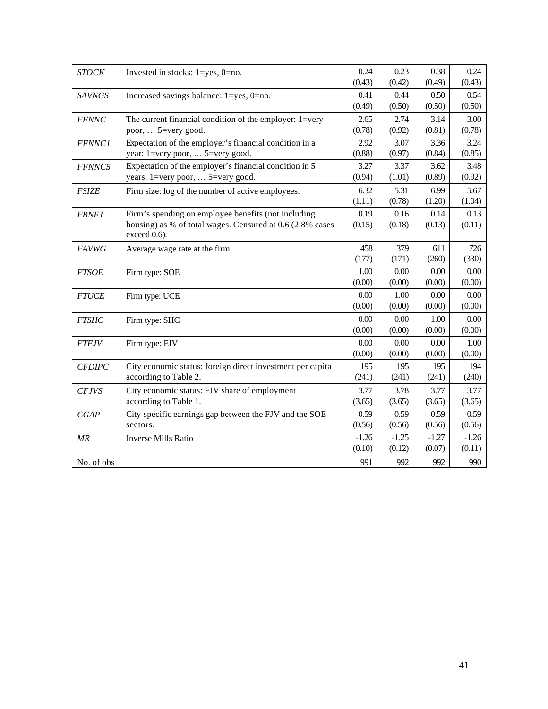| <b>STOCK</b>  | Invested in stocks: 1=yes, 0=no.                           | 0.24    | 0.23    | 0.38    | 0.24    |
|---------------|------------------------------------------------------------|---------|---------|---------|---------|
|               |                                                            | (0.43)  | (0.42)  | (0.49)  | (0.43)  |
| <b>SAVNGS</b> | Increased savings balance: 1=yes, 0=no.                    | 0.41    | 0.44    | 0.50    | 0.54    |
|               |                                                            | (0.49)  | (0.50)  | (0.50)  | (0.50)  |
| <b>FFNNC</b>  | The current financial condition of the employer: 1=very    | 2.65    | 2.74    | 3.14    | 3.00    |
|               | poor,  5=very good.                                        | (0.78)  | (0.92)  | (0.81)  | (0.78)  |
| <b>FFNNC1</b> | Expectation of the employer's financial condition in a     | 2.92    | 3.07    | 3.36    | 3.24    |
|               | year: 1=very poor,  5=very good.                           | (0.88)  | (0.97)  | (0.84)  | (0.85)  |
| FFNNC5        | Expectation of the employer's financial condition in 5     | 3.27    | 3.37    | 3.62    | 3.48    |
|               | years: 1=very poor,  5=very good.                          | (0.94)  | (1.01)  | (0.89)  | (0.92)  |
| <b>FSIZE</b>  | Firm size: log of the number of active employees.          | 6.32    | 5.31    | 6.99    | 5.67    |
|               |                                                            | (1.11)  | (0.78)  | (1.20)  | (1.04)  |
| <b>FBNFT</b>  | Firm's spending on employee benefits (not including        | 0.19    | 0.16    | 0.14    | 0.13    |
|               | housing) as % of total wages. Censured at 0.6 (2.8% cases  | (0.15)  | (0.18)  | (0.13)  | (0.11)  |
|               | exceed 0.6).                                               |         |         |         |         |
| <b>FAVWG</b>  | Average wage rate at the firm.                             | 458     | 379     | 611     | 726     |
|               |                                                            | (177)   | (171)   | (260)   | (330)   |
| <b>FTSOE</b>  | Firm type: SOE                                             | 1.00    | 0.00    | 0.00    | 0.00    |
|               |                                                            | (0.00)  | (0.00)  | (0.00)  | (0.00)  |
| <b>FTUCE</b>  | Firm type: UCE                                             | 0.00    | 1.00    | 0.00    | 0.00    |
|               |                                                            | (0.00)  | (0.00)  | (0.00)  | (0.00)  |
| <b>FTSHC</b>  | Firm type: SHC                                             | 0.00    | 0.00    | 1.00    | 0.00    |
|               |                                                            | (0.00)  | (0.00)  | (0.00)  | (0.00)  |
| <b>FTFJV</b>  | Firm type: FJV                                             | 0.00    | 0.00    | 0.00    | 1.00    |
|               |                                                            | (0.00)  | (0.00)  | (0.00)  | (0.00)  |
| <b>CFDIPC</b> | City economic status: foreign direct investment per capita | 195     | 195     | 195     | 194     |
|               | according to Table 2.                                      | (241)   | (241)   | (241)   | (240)   |
| <b>CFJVS</b>  | City economic status: FJV share of employment              | 3.77    | 3.78    | 3.77    | 3.77    |
|               | according to Table 1.                                      | (3.65)  | (3.65)  | (3.65)  | (3.65)  |
| CGAP          | City-specific earnings gap between the FJV and the SOE     | $-0.59$ | $-0.59$ | $-0.59$ | $-0.59$ |
|               | sectors.                                                   | (0.56)  | (0.56)  | (0.56)  | (0.56)  |
| MR            | <b>Inverse Mills Ratio</b>                                 | $-1.26$ | $-1.25$ | $-1.27$ | $-1.26$ |
|               |                                                            | (0.10)  | (0.12)  | (0.07)  | (0.11)  |
| No. of obs    |                                                            | 991     | 992     | 992     | 990     |